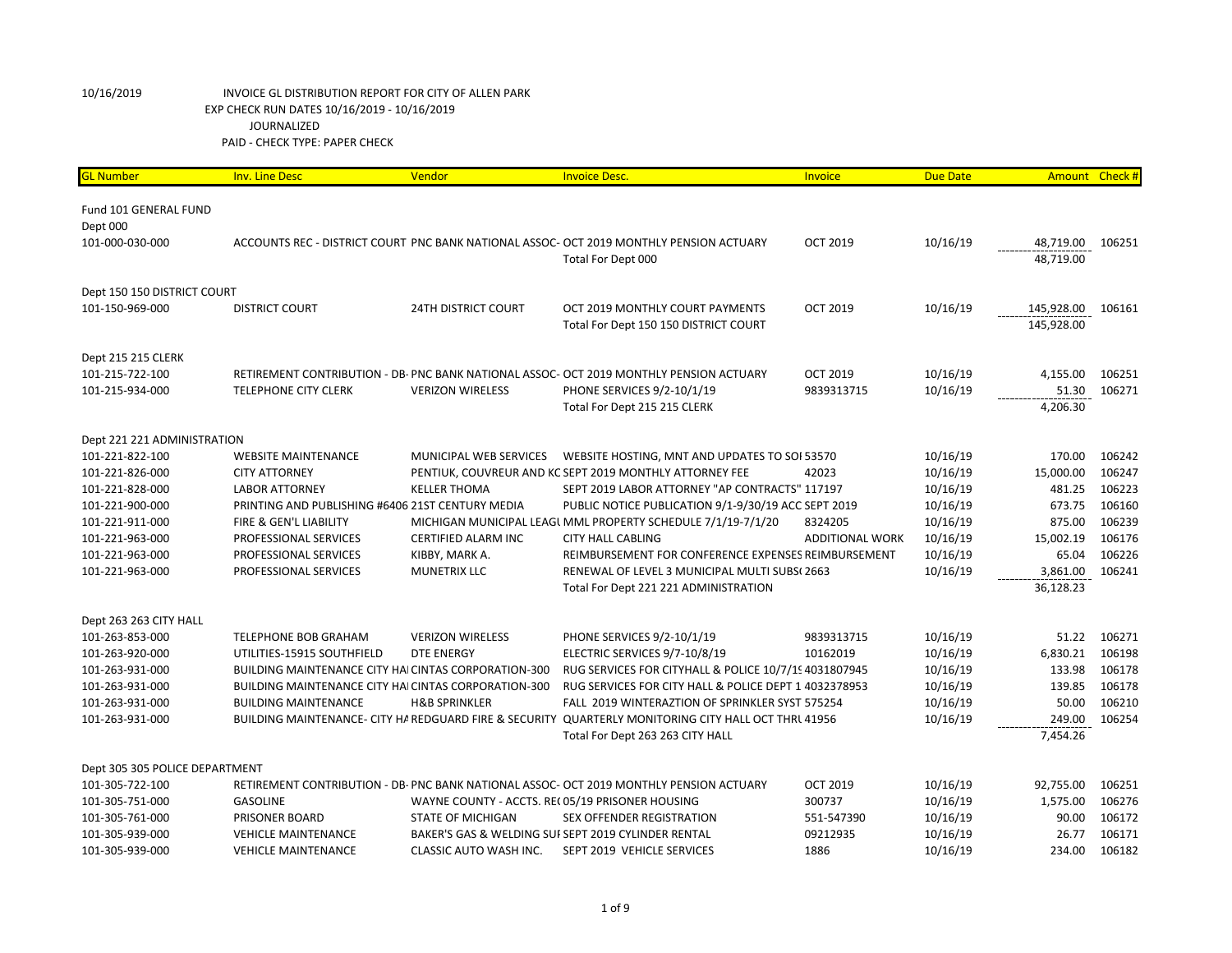| <b>GL Number</b>               | <b>Inv. Line Desc</b>                                       | Vendor                                          | <b>Invoice Desc.</b>                                                                                 | Invoice                | <b>Due Date</b> | Amount Check # |        |
|--------------------------------|-------------------------------------------------------------|-------------------------------------------------|------------------------------------------------------------------------------------------------------|------------------------|-----------------|----------------|--------|
|                                |                                                             |                                                 |                                                                                                      |                        |                 |                |        |
| Fund 101 GENERAL FUND          |                                                             |                                                 |                                                                                                      |                        |                 |                |        |
| Dept 000                       |                                                             |                                                 |                                                                                                      |                        |                 |                |        |
| 101-000-030-000                |                                                             |                                                 | ACCOUNTS REC - DISTRICT COURT PNC BANK NATIONAL ASSOC- OCT 2019 MONTHLY PENSION ACTUARY              | <b>OCT 2019</b>        | 10/16/19        | 48,719.00      | 106251 |
|                                |                                                             |                                                 | Total For Dept 000                                                                                   |                        |                 | 48,719.00      |        |
| Dept 150 150 DISTRICT COURT    |                                                             |                                                 |                                                                                                      |                        |                 |                |        |
| 101-150-969-000                | <b>DISTRICT COURT</b>                                       | <b>24TH DISTRICT COURT</b>                      | OCT 2019 MONTHLY COURT PAYMENTS                                                                      | <b>OCT 2019</b>        | 10/16/19        | 145,928.00     | 106161 |
|                                |                                                             |                                                 | Total For Dept 150 150 DISTRICT COURT                                                                |                        |                 | 145,928.00     |        |
| Dept 215 215 CLERK             |                                                             |                                                 |                                                                                                      |                        |                 |                |        |
| 101-215-722-100                |                                                             |                                                 | RETIREMENT CONTRIBUTION - DB- PNC BANK NATIONAL ASSOC- OCT 2019 MONTHLY PENSION ACTUARY              | <b>OCT 2019</b>        | 10/16/19        | 4,155.00       | 106251 |
| 101-215-934-000                | <b>TELEPHONE CITY CLERK</b>                                 | <b>VERIZON WIRELESS</b>                         | PHONE SERVICES 9/2-10/1/19                                                                           | 9839313715             | 10/16/19        | 51.30          | 106271 |
|                                |                                                             |                                                 | Total For Dept 215 215 CLERK                                                                         |                        |                 | 4,206.30       |        |
|                                |                                                             |                                                 |                                                                                                      |                        |                 |                |        |
| Dept 221 221 ADMINISTRATION    |                                                             |                                                 |                                                                                                      |                        |                 |                |        |
| 101-221-822-100                | <b>WEBSITE MAINTENANCE</b>                                  | MUNICIPAL WEB SERVICES                          | WEBSITE HOSTING, MNT AND UPDATES TO SOI 53570                                                        |                        | 10/16/19        | 170.00         | 106242 |
| 101-221-826-000                | <b>CITY ATTORNEY</b>                                        |                                                 | PENTIUK, COUVREUR AND KC SEPT 2019 MONTHLY ATTORNEY FEE                                              | 42023                  | 10/16/19        | 15,000.00      | 106247 |
| 101-221-828-000                | <b>LABOR ATTORNEY</b>                                       | <b>KELLER THOMA</b>                             | SEPT 2019 LABOR ATTORNEY "AP CONTRACTS" 117197                                                       |                        | 10/16/19        | 481.25         | 106223 |
| 101-221-900-000                | PRINTING AND PUBLISHING #6406 21ST CENTURY MEDIA            |                                                 | PUBLIC NOTICE PUBLICATION 9/1-9/30/19 ACC SEPT 2019                                                  |                        | 10/16/19        | 673.75         | 106160 |
| 101-221-911-000                | FIRE & GEN'L LIABILITY                                      |                                                 | MICHIGAN MUNICIPAL LEAGI MML PROPERTY SCHEDULE 7/1/19-7/1/20                                         | 8324205                | 10/16/19        | 875.00         | 106239 |
| 101-221-963-000                | PROFESSIONAL SERVICES                                       | CERTIFIED ALARM INC                             | <b>CITY HALL CABLING</b>                                                                             | <b>ADDITIONAL WORK</b> | 10/16/19        | 15,002.19      | 106176 |
| 101-221-963-000                | PROFESSIONAL SERVICES                                       | KIBBY, MARK A.                                  | REIMBURSEMENT FOR CONFERENCE EXPENSES REIMBURSEMENT                                                  |                        | 10/16/19        | 65.04          | 106226 |
| 101-221-963-000                | PROFESSIONAL SERVICES                                       | <b>MUNETRIX LLC</b>                             | RENEWAL OF LEVEL 3 MUNICIPAL MULTI SUBS(2663                                                         |                        | 10/16/19        | 3,861.00       | 106241 |
|                                |                                                             |                                                 | Total For Dept 221 221 ADMINISTRATION                                                                |                        |                 | 36,128.23      |        |
| Dept 263 263 CITY HALL         |                                                             |                                                 |                                                                                                      |                        |                 |                |        |
| 101-263-853-000                | TELEPHONE BOB GRAHAM                                        | <b>VERIZON WIRELESS</b>                         | PHONE SERVICES 9/2-10/1/19                                                                           | 9839313715             | 10/16/19        | 51.22          | 106271 |
| 101-263-920-000                | UTILITIES-15915 SOUTHFIELD                                  | <b>DTE ENERGY</b>                               | ELECTRIC SERVICES 9/7-10/8/19                                                                        | 10162019               | 10/16/19        | 6,830.21       | 106198 |
| 101-263-931-000                | <b>BUILDING MAINTENANCE CITY HAI CINTAS CORPORATION-300</b> |                                                 | RUG SERVICES FOR CITYHALL & POLICE 10/7/19 4031807945                                                |                        | 10/16/19        | 133.98         | 106178 |
| 101-263-931-000                | BUILDING MAINTENANCE CITY HAI CINTAS CORPORATION-300        |                                                 | RUG SERVICES FOR CITY HALL & POLICE DEPT 1 4032378953                                                |                        | 10/16/19        | 139.85         | 106178 |
| 101-263-931-000                | <b>BUILDING MAINTENANCE</b>                                 | <b>H&amp;B SPRINKLER</b>                        | FALL 2019 WINTERAZTION OF SPRINKLER SYST 575254                                                      |                        | 10/16/19        | 50.00          | 106210 |
| 101-263-931-000                |                                                             |                                                 | BUILDING MAINTENANCE- CITY HA REDGUARD FIRE & SECURITY QUARTERLY MONITORING CITY HALL OCT THRL 41956 |                        | 10/16/19        | 249.00         | 106254 |
|                                |                                                             |                                                 | Total For Dept 263 263 CITY HALL                                                                     |                        |                 | 7,454.26       |        |
| Dept 305 305 POLICE DEPARTMENT |                                                             |                                                 |                                                                                                      |                        |                 |                |        |
| 101-305-722-100                |                                                             |                                                 | RETIREMENT CONTRIBUTION - DB- PNC BANK NATIONAL ASSOC- OCT 2019 MONTHLY PENSION ACTUARY              | <b>OCT 2019</b>        | 10/16/19        | 92,755.00      | 106251 |
| 101-305-751-000                | <b>GASOLINE</b>                                             | WAYNE COUNTY - ACCTS. RE(05/19 PRISONER HOUSING |                                                                                                      | 300737                 | 10/16/19        | 1,575.00       | 106276 |
| 101-305-761-000                | PRISONER BOARD                                              | <b>STATE OF MICHIGAN</b>                        | SEX OFFENDER REGISTRATION                                                                            | 551-547390             | 10/16/19        | 90.00          | 106172 |
| 101-305-939-000                | <b>VEHICLE MAINTENANCE</b>                                  |                                                 | BAKER'S GAS & WELDING SUI SEPT 2019 CYLINDER RENTAL                                                  | 09212935               | 10/16/19        | 26.77          | 106171 |
| 101-305-939-000                | <b>VEHICLE MAINTENANCE</b>                                  | CLASSIC AUTO WASH INC.                          | SEPT 2019 VEHICLE SERVICES                                                                           | 1886                   | 10/16/19        | 234.00         | 106182 |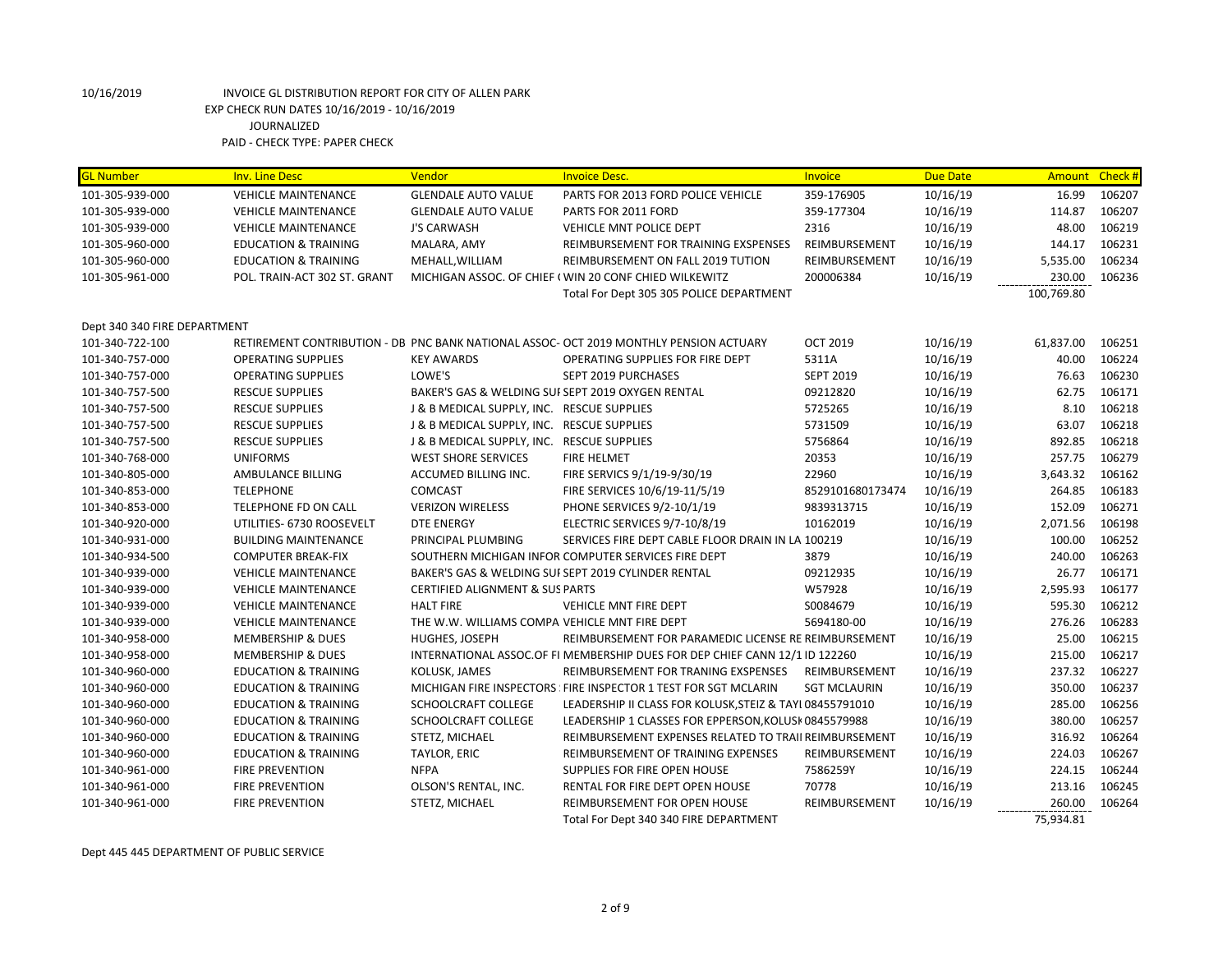| <b>GL Number</b>             | <b>Inv. Line Desc</b>           | Vendor                                            | <b>Invoice Desc.</b>                                                                   | Invoice             | <b>Due Date</b> | <b>Amount</b> | Check# |
|------------------------------|---------------------------------|---------------------------------------------------|----------------------------------------------------------------------------------------|---------------------|-----------------|---------------|--------|
| 101-305-939-000              | <b>VEHICLE MAINTENANCE</b>      | <b>GLENDALE AUTO VALUE</b>                        | PARTS FOR 2013 FORD POLICE VEHICLE                                                     | 359-176905          | 10/16/19        | 16.99         | 106207 |
| 101-305-939-000              | <b>VEHICLE MAINTENANCE</b>      | <b>GLENDALE AUTO VALUE</b>                        | PARTS FOR 2011 FORD                                                                    | 359-177304          | 10/16/19        | 114.87        | 106207 |
| 101-305-939-000              | <b>VEHICLE MAINTENANCE</b>      | <b>J'S CARWASH</b>                                | VEHICLE MNT POLICE DEPT                                                                | 2316                | 10/16/19        | 48.00         | 106219 |
| 101-305-960-000              | <b>EDUCATION &amp; TRAINING</b> | MALARA, AMY                                       | REIMBURSEMENT FOR TRAINING EXSPENSES                                                   | REIMBURSEMENT       | 10/16/19        | 144.17        | 106231 |
| 101-305-960-000              | <b>EDUCATION &amp; TRAINING</b> | MEHALL, WILLIAM                                   | REIMBURSEMENT ON FALL 2019 TUTION                                                      | REIMBURSEMENT       | 10/16/19        | 5,535.00      | 106234 |
| 101-305-961-000              | POL. TRAIN-ACT 302 ST. GRANT    |                                                   | MICHIGAN ASSOC. OF CHIEF (WIN 20 CONF CHIED WILKEWITZ                                  | 200006384           | 10/16/19        | 230.00        | 106236 |
|                              |                                 |                                                   | Total For Dept 305 305 POLICE DEPARTMENT                                               |                     |                 | 100,769.80    |        |
| Dept 340 340 FIRE DEPARTMENT |                                 |                                                   |                                                                                        |                     |                 |               |        |
| 101-340-722-100              |                                 |                                                   | RETIREMENT CONTRIBUTION - DB PNC BANK NATIONAL ASSOC- OCT 2019 MONTHLY PENSION ACTUARY | <b>OCT 2019</b>     | 10/16/19        | 61,837.00     | 106251 |
| 101-340-757-000              | <b>OPERATING SUPPLIES</b>       | <b>KEY AWARDS</b>                                 | OPERATING SUPPLIES FOR FIRE DEPT                                                       | 5311A               | 10/16/19        | 40.00         | 106224 |
| 101-340-757-000              | <b>OPERATING SUPPLIES</b>       | LOWE'S                                            | SEPT 2019 PURCHASES                                                                    | <b>SEPT 2019</b>    | 10/16/19        | 76.63         | 106230 |
| 101-340-757-500              | <b>RESCUE SUPPLIES</b>          | BAKER'S GAS & WELDING SUI SEPT 2019 OXYGEN RENTAL |                                                                                        | 09212820            | 10/16/19        | 62.75         | 106171 |
| 101-340-757-500              | <b>RESCUE SUPPLIES</b>          | J & B MEDICAL SUPPLY, INC. RESCUE SUPPLIES        |                                                                                        | 5725265             | 10/16/19        | 8.10          | 106218 |
| 101-340-757-500              | <b>RESCUE SUPPLIES</b>          | J & B MEDICAL SUPPLY, INC. RESCUE SUPPLIES        |                                                                                        | 5731509             | 10/16/19        | 63.07         | 106218 |
| 101-340-757-500              | <b>RESCUE SUPPLIES</b>          | J & B MEDICAL SUPPLY, INC. RESCUE SUPPLIES        |                                                                                        | 5756864             | 10/16/19        | 892.85        | 106218 |
| 101-340-768-000              | <b>UNIFORMS</b>                 | <b>WEST SHORE SERVICES</b>                        | <b>FIRE HELMET</b>                                                                     | 20353               | 10/16/19        | 257.75        | 106279 |
| 101-340-805-000              | AMBULANCE BILLING               | ACCUMED BILLING INC.                              | FIRE SERVICS 9/1/19-9/30/19                                                            | 22960               | 10/16/19        | 3,643.32      | 106162 |
| 101-340-853-000              | <b>TELEPHONE</b>                | <b>COMCAST</b>                                    | FIRE SERVICES 10/6/19-11/5/19                                                          | 8529101680173474    | 10/16/19        | 264.85        | 106183 |
| 101-340-853-000              | TELEPHONE FD ON CALL            | <b>VERIZON WIRELESS</b>                           | PHONE SERVICES 9/2-10/1/19                                                             | 9839313715          | 10/16/19        | 152.09        | 106271 |
| 101-340-920-000              | UTILITIES- 6730 ROOSEVELT       | <b>DTE ENERGY</b>                                 | ELECTRIC SERVICES 9/7-10/8/19                                                          | 10162019            | 10/16/19        | 2,071.56      | 106198 |
| 101-340-931-000              | <b>BUILDING MAINTENANCE</b>     | PRINCIPAL PLUMBING                                | SERVICES FIRE DEPT CABLE FLOOR DRAIN IN LA 100219                                      |                     | 10/16/19        | 100.00        | 106252 |
| 101-340-934-500              | <b>COMPUTER BREAK-FIX</b>       |                                                   | SOUTHERN MICHIGAN INFOR COMPUTER SERVICES FIRE DEPT                                    | 3879                | 10/16/19        | 240.00        | 106263 |
| 101-340-939-000              | <b>VEHICLE MAINTENANCE</b>      |                                                   | BAKER'S GAS & WELDING SUI SEPT 2019 CYLINDER RENTAL                                    | 09212935            | 10/16/19        | 26.77         | 106171 |
| 101-340-939-000              | <b>VEHICLE MAINTENANCE</b>      | <b>CERTIFIED ALIGNMENT &amp; SUS PARTS</b>        |                                                                                        | W57928              | 10/16/19        | 2,595.93      | 106177 |
| 101-340-939-000              | <b>VEHICLE MAINTENANCE</b>      | <b>HALT FIRE</b>                                  | <b>VEHICLE MNT FIRE DEPT</b>                                                           | S0084679            | 10/16/19        | 595.30        | 106212 |
| 101-340-939-000              | <b>VEHICLE MAINTENANCE</b>      | THE W.W. WILLIAMS COMPA VEHICLE MNT FIRE DEPT     |                                                                                        | 5694180-00          | 10/16/19        | 276.26        | 106283 |
| 101-340-958-000              | <b>MEMBERSHIP &amp; DUES</b>    | HUGHES, JOSEPH                                    | REIMBURSEMENT FOR PARAMEDIC LICENSE RE REIMBURSEMENT                                   |                     | 10/16/19        | 25.00         | 106215 |
| 101-340-958-000              | <b>MEMBERSHIP &amp; DUES</b>    |                                                   | INTERNATIONAL ASSOC.OF FI MEMBERSHIP DUES FOR DEP CHIEF CANN 12/1 ID 122260            |                     | 10/16/19        | 215.00        | 106217 |
| 101-340-960-000              | <b>EDUCATION &amp; TRAINING</b> | KOLUSK, JAMES                                     | REIMBURSEMENT FOR TRANING EXSPENSES                                                    | REIMBURSEMENT       | 10/16/19        | 237.32        | 106227 |
| 101-340-960-000              | <b>EDUCATION &amp; TRAINING</b> |                                                   | MICHIGAN FIRE INSPECTORS FIRE INSPECTOR 1 TEST FOR SGT MCLARIN                         | <b>SGT MCLAURIN</b> | 10/16/19        | 350.00        | 106237 |
| 101-340-960-000              | <b>EDUCATION &amp; TRAINING</b> | SCHOOLCRAFT COLLEGE                               | LEADERSHIP II CLASS FOR KOLUSK, STEIZ & TAYI 08455791010                               |                     | 10/16/19        | 285.00        | 106256 |
| 101-340-960-000              | <b>EDUCATION &amp; TRAINING</b> | SCHOOLCRAFT COLLEGE                               | LEADERSHIP 1 CLASSES FOR EPPERSON, KOLUSK 0845579988                                   |                     | 10/16/19        | 380.00        | 106257 |
| 101-340-960-000              | <b>EDUCATION &amp; TRAINING</b> | STETZ, MICHAEL                                    | REIMBURSEMENT EXPENSES RELATED TO TRAII REIMBURSEMENT                                  |                     | 10/16/19        | 316.92        | 106264 |
| 101-340-960-000              | <b>EDUCATION &amp; TRAINING</b> | TAYLOR, ERIC                                      | REIMBURSEMENT OF TRAINING EXPENSES                                                     | REIMBURSEMENT       | 10/16/19        | 224.03        | 106267 |
| 101-340-961-000              | <b>FIRE PREVENTION</b>          | <b>NFPA</b>                                       | SUPPLIES FOR FIRE OPEN HOUSE                                                           | 7586259Y            | 10/16/19        | 224.15        | 106244 |
| 101-340-961-000              | <b>FIRE PREVENTION</b>          | OLSON'S RENTAL, INC.                              | RENTAL FOR FIRE DEPT OPEN HOUSE                                                        | 70778               | 10/16/19        | 213.16        | 106245 |
| 101-340-961-000              | <b>FIRE PREVENTION</b>          | STETZ, MICHAEL                                    | REIMBURSEMENT FOR OPEN HOUSE                                                           | REIMBURSEMENT       | 10/16/19        | 260.00        | 106264 |
|                              |                                 |                                                   | Total For Dept 340 340 FIRE DEPARTMENT                                                 |                     |                 | 75,934.81     |        |

Dept 445 445 DEPARTMENT OF PUBLIC SERVICE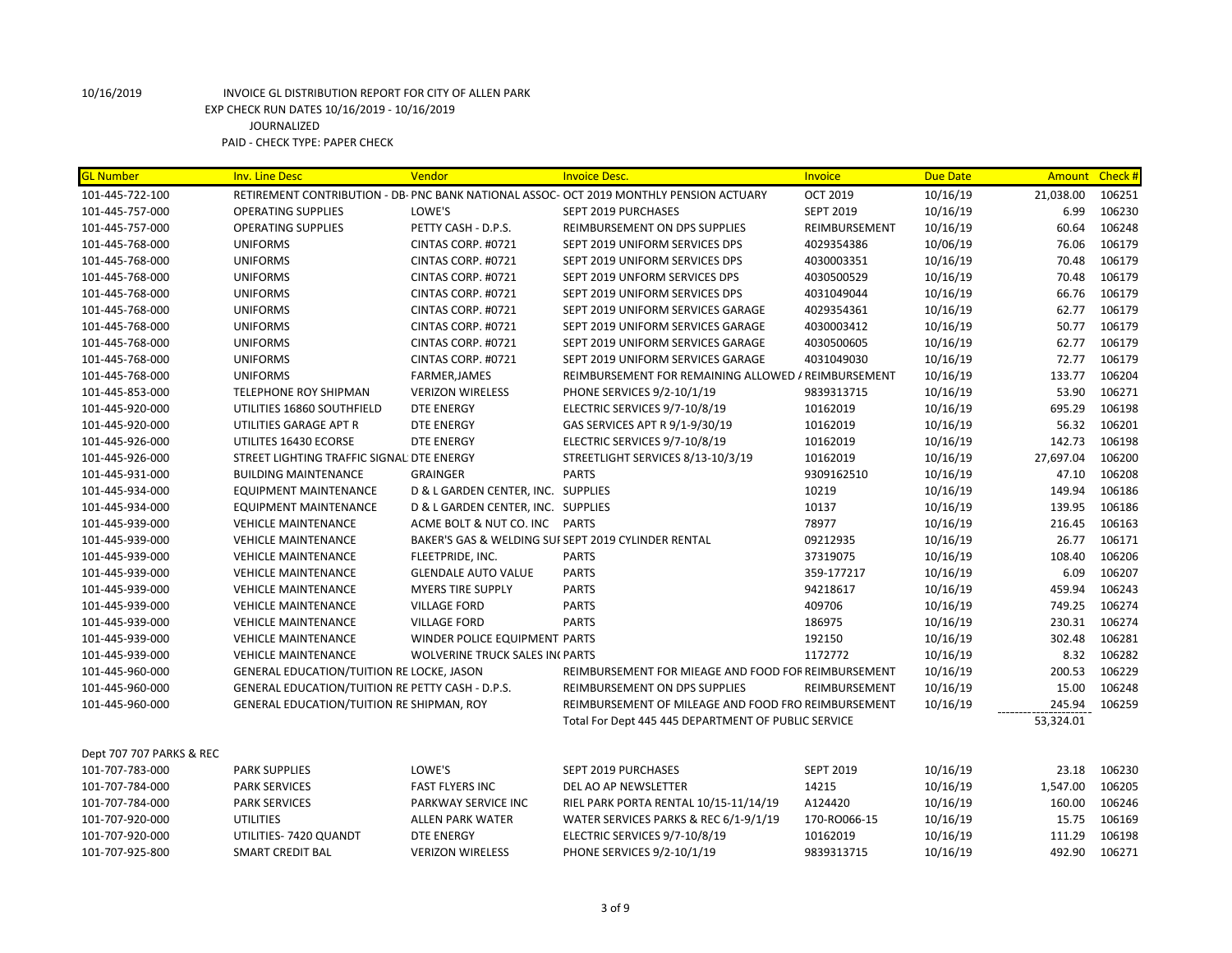| <b>GL Number</b>         | <b>Inv. Line Desc</b>                            | Vendor                                | <b>Invoice Desc.</b>                                                                    | Invoice          | <b>Due Date</b> | Amount Check # |        |
|--------------------------|--------------------------------------------------|---------------------------------------|-----------------------------------------------------------------------------------------|------------------|-----------------|----------------|--------|
| 101-445-722-100          |                                                  |                                       | RETIREMENT CONTRIBUTION - DB- PNC BANK NATIONAL ASSOC- OCT 2019 MONTHLY PENSION ACTUARY | <b>OCT 2019</b>  | 10/16/19        | 21,038.00      | 106251 |
| 101-445-757-000          | <b>OPERATING SUPPLIES</b>                        | LOWE'S                                | <b>SEPT 2019 PURCHASES</b>                                                              | <b>SEPT 2019</b> | 10/16/19        | 6.99           | 106230 |
| 101-445-757-000          | <b>OPERATING SUPPLIES</b>                        | PETTY CASH - D.P.S.                   | REIMBURSEMENT ON DPS SUPPLIES                                                           | REIMBURSEMENT    | 10/16/19        | 60.64          | 106248 |
| 101-445-768-000          | <b>UNIFORMS</b>                                  | CINTAS CORP. #0721                    | SEPT 2019 UNIFORM SERVICES DPS                                                          | 4029354386       | 10/06/19        | 76.06          | 106179 |
| 101-445-768-000          | <b>UNIFORMS</b>                                  | CINTAS CORP. #0721                    | SEPT 2019 UNIFORM SERVICES DPS                                                          | 4030003351       | 10/16/19        | 70.48          | 106179 |
| 101-445-768-000          | <b>UNIFORMS</b>                                  | CINTAS CORP. #0721                    | SEPT 2019 UNFORM SERVICES DPS                                                           | 4030500529       | 10/16/19        | 70.48          | 106179 |
| 101-445-768-000          | <b>UNIFORMS</b>                                  | CINTAS CORP. #0721                    | SEPT 2019 UNIFORM SERVICES DPS                                                          | 4031049044       | 10/16/19        | 66.76          | 106179 |
| 101-445-768-000          | <b>UNIFORMS</b>                                  | CINTAS CORP. #0721                    | SEPT 2019 UNIFORM SERVICES GARAGE                                                       | 4029354361       | 10/16/19        | 62.77          | 106179 |
| 101-445-768-000          | <b>UNIFORMS</b>                                  | CINTAS CORP. #0721                    | SEPT 2019 UNIFORM SERVICES GARAGE                                                       | 4030003412       | 10/16/19        | 50.77          | 106179 |
| 101-445-768-000          | <b>UNIFORMS</b>                                  | CINTAS CORP. #0721                    | SEPT 2019 UNIFORM SERVICES GARAGE                                                       | 4030500605       | 10/16/19        | 62.77          | 106179 |
| 101-445-768-000          | <b>UNIFORMS</b>                                  | CINTAS CORP. #0721                    | SEPT 2019 UNIFORM SERVICES GARAGE                                                       | 4031049030       | 10/16/19        | 72.77          | 106179 |
| 101-445-768-000          | <b>UNIFORMS</b>                                  | <b>FARMER, JAMES</b>                  | REIMBURSEMENT FOR REMAINING ALLOWED / REIMBURSEMENT                                     |                  | 10/16/19        | 133.77         | 106204 |
| 101-445-853-000          | TELEPHONE ROY SHIPMAN                            | <b>VERIZON WIRELESS</b>               | PHONE SERVICES 9/2-10/1/19                                                              | 9839313715       | 10/16/19        | 53.90          | 106271 |
| 101-445-920-000          | UTILITIES 16860 SOUTHFIELD                       | <b>DTE ENERGY</b>                     | ELECTRIC SERVICES 9/7-10/8/19                                                           | 10162019         | 10/16/19        | 695.29         | 106198 |
| 101-445-920-000          | UTILITIES GARAGE APT R                           | <b>DTE ENERGY</b>                     | GAS SERVICES APT R 9/1-9/30/19                                                          | 10162019         | 10/16/19        | 56.32          | 106201 |
| 101-445-926-000          | UTILITES 16430 ECORSE                            | <b>DTE ENERGY</b>                     | ELECTRIC SERVICES 9/7-10/8/19                                                           | 10162019         | 10/16/19        | 142.73         | 106198 |
| 101-445-926-000          | STREET LIGHTING TRAFFIC SIGNAL DTE ENERGY        |                                       | STREETLIGHT SERVICES 8/13-10/3/19                                                       | 10162019         | 10/16/19        | 27,697.04      | 106200 |
| 101-445-931-000          | <b>BUILDING MAINTENANCE</b>                      | <b>GRAINGER</b>                       | <b>PARTS</b>                                                                            | 9309162510       | 10/16/19        | 47.10          | 106208 |
| 101-445-934-000          | <b>EQUIPMENT MAINTENANCE</b>                     | D & L GARDEN CENTER, INC. SUPPLIES    |                                                                                         | 10219            | 10/16/19        | 149.94         | 106186 |
| 101-445-934-000          | <b>EQUIPMENT MAINTENANCE</b>                     | D & L GARDEN CENTER, INC. SUPPLIES    |                                                                                         | 10137            | 10/16/19        | 139.95         | 106186 |
| 101-445-939-000          | <b>VEHICLE MAINTENANCE</b>                       | ACME BOLT & NUT CO. INC PARTS         |                                                                                         | 78977            | 10/16/19        | 216.45         | 106163 |
| 101-445-939-000          | <b>VEHICLE MAINTENANCE</b>                       |                                       | BAKER'S GAS & WELDING SUI SEPT 2019 CYLINDER RENTAL                                     | 09212935         | 10/16/19        | 26.77          | 106171 |
| 101-445-939-000          | <b>VEHICLE MAINTENANCE</b>                       | FLEETPRIDE, INC.                      | <b>PARTS</b>                                                                            | 37319075         | 10/16/19        | 108.40         | 106206 |
| 101-445-939-000          | <b>VEHICLE MAINTENANCE</b>                       | <b>GLENDALE AUTO VALUE</b>            | <b>PARTS</b>                                                                            | 359-177217       | 10/16/19        | 6.09           | 106207 |
| 101-445-939-000          | <b>VEHICLE MAINTENANCE</b>                       | <b>MYERS TIRE SUPPLY</b>              | <b>PARTS</b>                                                                            | 94218617         | 10/16/19        | 459.94         | 106243 |
| 101-445-939-000          | <b>VEHICLE MAINTENANCE</b>                       | <b>VILLAGE FORD</b>                   | <b>PARTS</b>                                                                            | 409706           | 10/16/19        | 749.25         | 106274 |
| 101-445-939-000          | <b>VEHICLE MAINTENANCE</b>                       | <b>VILLAGE FORD</b>                   | <b>PARTS</b>                                                                            | 186975           | 10/16/19        | 230.31         | 106274 |
| 101-445-939-000          | <b>VEHICLE MAINTENANCE</b>                       | WINDER POLICE EQUIPMENT PARTS         |                                                                                         | 192150           | 10/16/19        | 302.48         | 106281 |
| 101-445-939-000          | <b>VEHICLE MAINTENANCE</b>                       | <b>WOLVERINE TRUCK SALES INCPARTS</b> |                                                                                         | 1172772          | 10/16/19        | 8.32           | 106282 |
| 101-445-960-000          | GENERAL EDUCATION/TUITION RE LOCKE, JASON        |                                       | REIMBURSEMENT FOR MIEAGE AND FOOD FOF REIMBURSEMENT                                     |                  | 10/16/19        | 200.53         | 106229 |
| 101-445-960-000          | GENERAL EDUCATION/TUITION RE PETTY CASH - D.P.S. |                                       | REIMBURSEMENT ON DPS SUPPLIES                                                           | REIMBURSEMENT    | 10/16/19        | 15.00          | 106248 |
| 101-445-960-000          | GENERAL EDUCATION/TUITION RE SHIPMAN, ROY        |                                       | REIMBURSEMENT OF MILEAGE AND FOOD FRO REIMBURSEMENT                                     |                  | 10/16/19        | 245.94         | 106259 |
|                          |                                                  |                                       | Total For Dept 445 445 DEPARTMENT OF PUBLIC SERVICE                                     |                  |                 | 53,324.01      |        |
| Dept 707 707 PARKS & REC |                                                  |                                       |                                                                                         |                  |                 |                |        |
| 101-707-783-000          | <b>PARK SUPPLIES</b>                             | LOWE'S                                | SEPT 2019 PURCHASES                                                                     | <b>SEPT 2019</b> | 10/16/19        | 23.18          | 106230 |
| 101-707-784-000          | <b>PARK SERVICES</b>                             | <b>FAST FLYERS INC</b>                | DEL AO AP NEWSLETTER                                                                    | 14215            | 10/16/19        | 1,547.00       | 106205 |
| 101-707-784-000          | <b>PARK SERVICES</b>                             | PARKWAY SERVICE INC                   | RIEL PARK PORTA RENTAL 10/15-11/14/19                                                   | A124420          | 10/16/19        | 160.00         | 106246 |
| 101-707-920-000          | <b>UTILITIES</b>                                 | <b>ALLEN PARK WATER</b>               | WATER SERVICES PARKS & REC 6/1-9/1/19                                                   | 170-RO066-15     | 10/16/19        | 15.75          | 106169 |
| 101-707-920-000          | UTILITIES-7420 QUANDT                            | <b>DTE ENERGY</b>                     | ELECTRIC SERVICES 9/7-10/8/19                                                           | 10162019         | 10/16/19        | 111.29         | 106198 |

101-707-925-800 SMART CREDIT BAL VERIZON WIRELESS PHONE SERVICES 9/2-10/1/19 9839313715 10/16/19 492.90 106271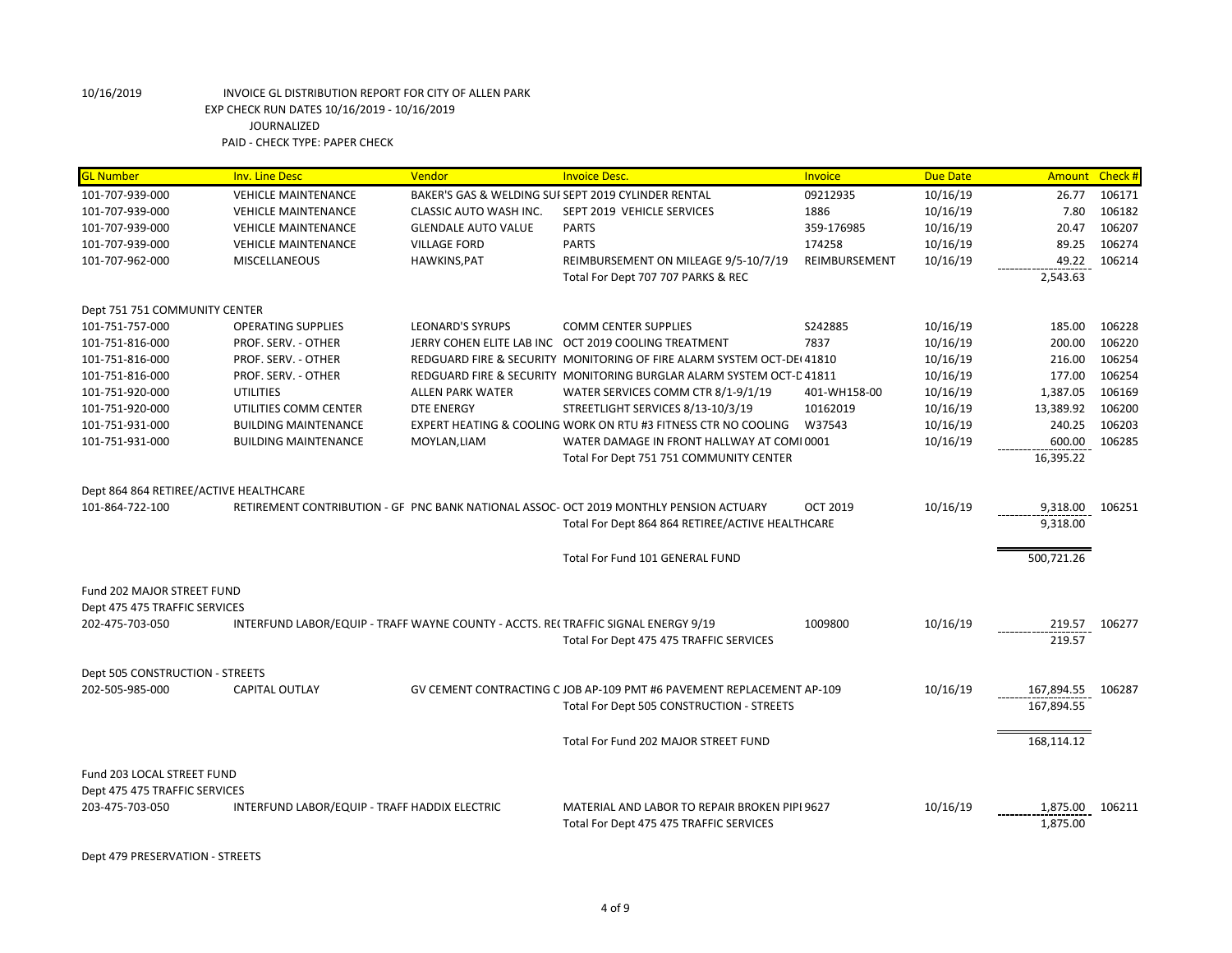| <b>VEHICLE MAINTENANCE</b><br>BAKER'S GAS & WELDING SUI SEPT 2019 CYLINDER RENTAL<br>09212935<br>10/16/19<br>26.77<br>106171<br>106182<br>1886<br>10/16/19<br>7.80<br><b>VEHICLE MAINTENANCE</b><br>CLASSIC AUTO WASH INC.<br>SEPT 2019 VEHICLE SERVICES<br>106207<br>359-176985<br>10/16/19<br>20.47<br><b>VEHICLE MAINTENANCE</b><br><b>GLENDALE AUTO VALUE</b><br><b>PARTS</b><br><b>PARTS</b><br>174258<br>10/16/19<br>89.25<br>106274<br><b>VEHICLE MAINTENANCE</b><br><b>VILLAGE FORD</b><br>106214<br>HAWKINS, PAT<br>REIMBURSEMENT ON MILEAGE 9/5-10/7/19<br>REIMBURSEMENT<br>10/16/19<br>49.22<br><b>MISCELLANEOUS</b><br>Total For Dept 707 707 PARKS & REC<br>2,543.63<br>Dept 751 751 COMMUNITY CENTER<br>106228<br><b>OPERATING SUPPLIES</b><br><b>LEONARD'S SYRUPS</b><br><b>COMM CENTER SUPPLIES</b><br>S242885<br>10/16/19<br>185.00<br>7837<br>10/16/19<br>200.00<br>106220<br>PROF. SERV. - OTHER<br>JERRY COHEN ELITE LAB INC OCT 2019 COOLING TREATMENT<br>106254<br>REDGUARD FIRE & SECURITY MONITORING OF FIRE ALARM SYSTEM OCT-DE(41810)<br>10/16/19<br>216.00<br>PROF. SERV. - OTHER<br>106254<br>PROF. SERV. - OTHER<br>REDGUARD FIRE & SECURITY MONITORING BURGLAR ALARM SYSTEM OCT-C 41811<br>10/16/19<br>177.00<br><b>UTILITIES</b><br>10/16/19<br>1,387.05<br>106169<br>ALLEN PARK WATER<br>WATER SERVICES COMM CTR 8/1-9/1/19<br>401-WH158-00<br>STREETLIGHT SERVICES 8/13-10/3/19<br>13,389.92<br>106200<br>UTILITIES COMM CENTER<br><b>DTE ENERGY</b><br>10162019<br>10/16/19<br>EXPERT HEATING & COOLING WORK ON RTU #3 FITNESS CTR NO COOLING<br>10/16/19<br>240.25<br>106203<br><b>BUILDING MAINTENANCE</b><br>W37543<br>10/16/19<br>600.00<br>106285<br><b>BUILDING MAINTENANCE</b><br>MOYLAN, LIAM<br>WATER DAMAGE IN FRONT HALLWAY AT COMI 0001<br>16,395.22<br>Total For Dept 751 751 COMMUNITY CENTER<br>Dept 864 864 RETIREE/ACTIVE HEALTHCARE<br>10/16/19<br>RETIREMENT CONTRIBUTION - GF PNC BANK NATIONAL ASSOC- OCT 2019 MONTHLY PENSION ACTUARY<br><b>OCT 2019</b><br>9,318.00<br>106251<br>9.318.00<br>Total For Dept 864 864 RETIREE/ACTIVE HEALTHCARE<br>500,721.26<br>Total For Fund 101 GENERAL FUND<br>Fund 202 MAJOR STREET FUND<br>Dept 475 475 TRAFFIC SERVICES<br>202-475-703-050<br>INTERFUND LABOR/EQUIP - TRAFF WAYNE COUNTY - ACCTS. REI TRAFFIC SIGNAL ENERGY 9/19<br>1009800<br>10/16/19<br>219.57<br>106277<br>Total For Dept 475 475 TRAFFIC SERVICES<br>219.57<br>Dept 505 CONSTRUCTION - STREETS<br><b>CAPITAL OUTLAY</b><br>GV CEMENT CONTRACTING C JOB AP-109 PMT #6 PAVEMENT REPLACEMENT AP-109<br>10/16/19<br>167,894.55<br>106287<br>167,894.55<br>Total For Dept 505 CONSTRUCTION - STREETS<br>Total For Fund 202 MAJOR STREET FUND<br>168,114.12<br>Fund 203 LOCAL STREET FUND<br>Dept 475 475 TRAFFIC SERVICES | <b>GL Number</b> | <b>Inv. Line Desc</b> | Vendor | <b>Invoice Desc.</b>                          | Invoice | <b>Due Date</b> | Amount   | Check # |
|------------------------------------------------------------------------------------------------------------------------------------------------------------------------------------------------------------------------------------------------------------------------------------------------------------------------------------------------------------------------------------------------------------------------------------------------------------------------------------------------------------------------------------------------------------------------------------------------------------------------------------------------------------------------------------------------------------------------------------------------------------------------------------------------------------------------------------------------------------------------------------------------------------------------------------------------------------------------------------------------------------------------------------------------------------------------------------------------------------------------------------------------------------------------------------------------------------------------------------------------------------------------------------------------------------------------------------------------------------------------------------------------------------------------------------------------------------------------------------------------------------------------------------------------------------------------------------------------------------------------------------------------------------------------------------------------------------------------------------------------------------------------------------------------------------------------------------------------------------------------------------------------------------------------------------------------------------------------------------------------------------------------------------------------------------------------------------------------------------------------------------------------------------------------------------------------------------------------------------------------------------------------------------------------------------------------------------------------------------------------------------------------------------------------------------------------------------------------------------------------------------------------------------------------------------------------------------------------------------------------------------------------------------------------------------------------------------------------------------------------------------------------------------------|------------------|-----------------------|--------|-----------------------------------------------|---------|-----------------|----------|---------|
|                                                                                                                                                                                                                                                                                                                                                                                                                                                                                                                                                                                                                                                                                                                                                                                                                                                                                                                                                                                                                                                                                                                                                                                                                                                                                                                                                                                                                                                                                                                                                                                                                                                                                                                                                                                                                                                                                                                                                                                                                                                                                                                                                                                                                                                                                                                                                                                                                                                                                                                                                                                                                                                                                                                                                                                          | 101-707-939-000  |                       |        |                                               |         |                 |          |         |
|                                                                                                                                                                                                                                                                                                                                                                                                                                                                                                                                                                                                                                                                                                                                                                                                                                                                                                                                                                                                                                                                                                                                                                                                                                                                                                                                                                                                                                                                                                                                                                                                                                                                                                                                                                                                                                                                                                                                                                                                                                                                                                                                                                                                                                                                                                                                                                                                                                                                                                                                                                                                                                                                                                                                                                                          | 101-707-939-000  |                       |        |                                               |         |                 |          |         |
|                                                                                                                                                                                                                                                                                                                                                                                                                                                                                                                                                                                                                                                                                                                                                                                                                                                                                                                                                                                                                                                                                                                                                                                                                                                                                                                                                                                                                                                                                                                                                                                                                                                                                                                                                                                                                                                                                                                                                                                                                                                                                                                                                                                                                                                                                                                                                                                                                                                                                                                                                                                                                                                                                                                                                                                          | 101-707-939-000  |                       |        |                                               |         |                 |          |         |
|                                                                                                                                                                                                                                                                                                                                                                                                                                                                                                                                                                                                                                                                                                                                                                                                                                                                                                                                                                                                                                                                                                                                                                                                                                                                                                                                                                                                                                                                                                                                                                                                                                                                                                                                                                                                                                                                                                                                                                                                                                                                                                                                                                                                                                                                                                                                                                                                                                                                                                                                                                                                                                                                                                                                                                                          | 101-707-939-000  |                       |        |                                               |         |                 |          |         |
|                                                                                                                                                                                                                                                                                                                                                                                                                                                                                                                                                                                                                                                                                                                                                                                                                                                                                                                                                                                                                                                                                                                                                                                                                                                                                                                                                                                                                                                                                                                                                                                                                                                                                                                                                                                                                                                                                                                                                                                                                                                                                                                                                                                                                                                                                                                                                                                                                                                                                                                                                                                                                                                                                                                                                                                          | 101-707-962-000  |                       |        |                                               |         |                 |          |         |
|                                                                                                                                                                                                                                                                                                                                                                                                                                                                                                                                                                                                                                                                                                                                                                                                                                                                                                                                                                                                                                                                                                                                                                                                                                                                                                                                                                                                                                                                                                                                                                                                                                                                                                                                                                                                                                                                                                                                                                                                                                                                                                                                                                                                                                                                                                                                                                                                                                                                                                                                                                                                                                                                                                                                                                                          |                  |                       |        |                                               |         |                 |          |         |
|                                                                                                                                                                                                                                                                                                                                                                                                                                                                                                                                                                                                                                                                                                                                                                                                                                                                                                                                                                                                                                                                                                                                                                                                                                                                                                                                                                                                                                                                                                                                                                                                                                                                                                                                                                                                                                                                                                                                                                                                                                                                                                                                                                                                                                                                                                                                                                                                                                                                                                                                                                                                                                                                                                                                                                                          |                  |                       |        |                                               |         |                 |          |         |
|                                                                                                                                                                                                                                                                                                                                                                                                                                                                                                                                                                                                                                                                                                                                                                                                                                                                                                                                                                                                                                                                                                                                                                                                                                                                                                                                                                                                                                                                                                                                                                                                                                                                                                                                                                                                                                                                                                                                                                                                                                                                                                                                                                                                                                                                                                                                                                                                                                                                                                                                                                                                                                                                                                                                                                                          | 101-751-757-000  |                       |        |                                               |         |                 |          |         |
|                                                                                                                                                                                                                                                                                                                                                                                                                                                                                                                                                                                                                                                                                                                                                                                                                                                                                                                                                                                                                                                                                                                                                                                                                                                                                                                                                                                                                                                                                                                                                                                                                                                                                                                                                                                                                                                                                                                                                                                                                                                                                                                                                                                                                                                                                                                                                                                                                                                                                                                                                                                                                                                                                                                                                                                          | 101-751-816-000  |                       |        |                                               |         |                 |          |         |
|                                                                                                                                                                                                                                                                                                                                                                                                                                                                                                                                                                                                                                                                                                                                                                                                                                                                                                                                                                                                                                                                                                                                                                                                                                                                                                                                                                                                                                                                                                                                                                                                                                                                                                                                                                                                                                                                                                                                                                                                                                                                                                                                                                                                                                                                                                                                                                                                                                                                                                                                                                                                                                                                                                                                                                                          | 101-751-816-000  |                       |        |                                               |         |                 |          |         |
|                                                                                                                                                                                                                                                                                                                                                                                                                                                                                                                                                                                                                                                                                                                                                                                                                                                                                                                                                                                                                                                                                                                                                                                                                                                                                                                                                                                                                                                                                                                                                                                                                                                                                                                                                                                                                                                                                                                                                                                                                                                                                                                                                                                                                                                                                                                                                                                                                                                                                                                                                                                                                                                                                                                                                                                          | 101-751-816-000  |                       |        |                                               |         |                 |          |         |
|                                                                                                                                                                                                                                                                                                                                                                                                                                                                                                                                                                                                                                                                                                                                                                                                                                                                                                                                                                                                                                                                                                                                                                                                                                                                                                                                                                                                                                                                                                                                                                                                                                                                                                                                                                                                                                                                                                                                                                                                                                                                                                                                                                                                                                                                                                                                                                                                                                                                                                                                                                                                                                                                                                                                                                                          | 101-751-920-000  |                       |        |                                               |         |                 |          |         |
|                                                                                                                                                                                                                                                                                                                                                                                                                                                                                                                                                                                                                                                                                                                                                                                                                                                                                                                                                                                                                                                                                                                                                                                                                                                                                                                                                                                                                                                                                                                                                                                                                                                                                                                                                                                                                                                                                                                                                                                                                                                                                                                                                                                                                                                                                                                                                                                                                                                                                                                                                                                                                                                                                                                                                                                          | 101-751-920-000  |                       |        |                                               |         |                 |          |         |
|                                                                                                                                                                                                                                                                                                                                                                                                                                                                                                                                                                                                                                                                                                                                                                                                                                                                                                                                                                                                                                                                                                                                                                                                                                                                                                                                                                                                                                                                                                                                                                                                                                                                                                                                                                                                                                                                                                                                                                                                                                                                                                                                                                                                                                                                                                                                                                                                                                                                                                                                                                                                                                                                                                                                                                                          | 101-751-931-000  |                       |        |                                               |         |                 |          |         |
|                                                                                                                                                                                                                                                                                                                                                                                                                                                                                                                                                                                                                                                                                                                                                                                                                                                                                                                                                                                                                                                                                                                                                                                                                                                                                                                                                                                                                                                                                                                                                                                                                                                                                                                                                                                                                                                                                                                                                                                                                                                                                                                                                                                                                                                                                                                                                                                                                                                                                                                                                                                                                                                                                                                                                                                          | 101-751-931-000  |                       |        |                                               |         |                 |          |         |
|                                                                                                                                                                                                                                                                                                                                                                                                                                                                                                                                                                                                                                                                                                                                                                                                                                                                                                                                                                                                                                                                                                                                                                                                                                                                                                                                                                                                                                                                                                                                                                                                                                                                                                                                                                                                                                                                                                                                                                                                                                                                                                                                                                                                                                                                                                                                                                                                                                                                                                                                                                                                                                                                                                                                                                                          |                  |                       |        |                                               |         |                 |          |         |
|                                                                                                                                                                                                                                                                                                                                                                                                                                                                                                                                                                                                                                                                                                                                                                                                                                                                                                                                                                                                                                                                                                                                                                                                                                                                                                                                                                                                                                                                                                                                                                                                                                                                                                                                                                                                                                                                                                                                                                                                                                                                                                                                                                                                                                                                                                                                                                                                                                                                                                                                                                                                                                                                                                                                                                                          |                  |                       |        |                                               |         |                 |          |         |
|                                                                                                                                                                                                                                                                                                                                                                                                                                                                                                                                                                                                                                                                                                                                                                                                                                                                                                                                                                                                                                                                                                                                                                                                                                                                                                                                                                                                                                                                                                                                                                                                                                                                                                                                                                                                                                                                                                                                                                                                                                                                                                                                                                                                                                                                                                                                                                                                                                                                                                                                                                                                                                                                                                                                                                                          | 101-864-722-100  |                       |        |                                               |         |                 |          |         |
|                                                                                                                                                                                                                                                                                                                                                                                                                                                                                                                                                                                                                                                                                                                                                                                                                                                                                                                                                                                                                                                                                                                                                                                                                                                                                                                                                                                                                                                                                                                                                                                                                                                                                                                                                                                                                                                                                                                                                                                                                                                                                                                                                                                                                                                                                                                                                                                                                                                                                                                                                                                                                                                                                                                                                                                          |                  |                       |        |                                               |         |                 |          |         |
|                                                                                                                                                                                                                                                                                                                                                                                                                                                                                                                                                                                                                                                                                                                                                                                                                                                                                                                                                                                                                                                                                                                                                                                                                                                                                                                                                                                                                                                                                                                                                                                                                                                                                                                                                                                                                                                                                                                                                                                                                                                                                                                                                                                                                                                                                                                                                                                                                                                                                                                                                                                                                                                                                                                                                                                          |                  |                       |        |                                               |         |                 |          |         |
|                                                                                                                                                                                                                                                                                                                                                                                                                                                                                                                                                                                                                                                                                                                                                                                                                                                                                                                                                                                                                                                                                                                                                                                                                                                                                                                                                                                                                                                                                                                                                                                                                                                                                                                                                                                                                                                                                                                                                                                                                                                                                                                                                                                                                                                                                                                                                                                                                                                                                                                                                                                                                                                                                                                                                                                          |                  |                       |        |                                               |         |                 |          |         |
|                                                                                                                                                                                                                                                                                                                                                                                                                                                                                                                                                                                                                                                                                                                                                                                                                                                                                                                                                                                                                                                                                                                                                                                                                                                                                                                                                                                                                                                                                                                                                                                                                                                                                                                                                                                                                                                                                                                                                                                                                                                                                                                                                                                                                                                                                                                                                                                                                                                                                                                                                                                                                                                                                                                                                                                          |                  |                       |        |                                               |         |                 |          |         |
|                                                                                                                                                                                                                                                                                                                                                                                                                                                                                                                                                                                                                                                                                                                                                                                                                                                                                                                                                                                                                                                                                                                                                                                                                                                                                                                                                                                                                                                                                                                                                                                                                                                                                                                                                                                                                                                                                                                                                                                                                                                                                                                                                                                                                                                                                                                                                                                                                                                                                                                                                                                                                                                                                                                                                                                          |                  |                       |        |                                               |         |                 |          |         |
|                                                                                                                                                                                                                                                                                                                                                                                                                                                                                                                                                                                                                                                                                                                                                                                                                                                                                                                                                                                                                                                                                                                                                                                                                                                                                                                                                                                                                                                                                                                                                                                                                                                                                                                                                                                                                                                                                                                                                                                                                                                                                                                                                                                                                                                                                                                                                                                                                                                                                                                                                                                                                                                                                                                                                                                          |                  |                       |        |                                               |         |                 |          |         |
|                                                                                                                                                                                                                                                                                                                                                                                                                                                                                                                                                                                                                                                                                                                                                                                                                                                                                                                                                                                                                                                                                                                                                                                                                                                                                                                                                                                                                                                                                                                                                                                                                                                                                                                                                                                                                                                                                                                                                                                                                                                                                                                                                                                                                                                                                                                                                                                                                                                                                                                                                                                                                                                                                                                                                                                          |                  |                       |        |                                               |         |                 |          |         |
|                                                                                                                                                                                                                                                                                                                                                                                                                                                                                                                                                                                                                                                                                                                                                                                                                                                                                                                                                                                                                                                                                                                                                                                                                                                                                                                                                                                                                                                                                                                                                                                                                                                                                                                                                                                                                                                                                                                                                                                                                                                                                                                                                                                                                                                                                                                                                                                                                                                                                                                                                                                                                                                                                                                                                                                          | 202-505-985-000  |                       |        |                                               |         |                 |          |         |
|                                                                                                                                                                                                                                                                                                                                                                                                                                                                                                                                                                                                                                                                                                                                                                                                                                                                                                                                                                                                                                                                                                                                                                                                                                                                                                                                                                                                                                                                                                                                                                                                                                                                                                                                                                                                                                                                                                                                                                                                                                                                                                                                                                                                                                                                                                                                                                                                                                                                                                                                                                                                                                                                                                                                                                                          |                  |                       |        |                                               |         |                 |          |         |
|                                                                                                                                                                                                                                                                                                                                                                                                                                                                                                                                                                                                                                                                                                                                                                                                                                                                                                                                                                                                                                                                                                                                                                                                                                                                                                                                                                                                                                                                                                                                                                                                                                                                                                                                                                                                                                                                                                                                                                                                                                                                                                                                                                                                                                                                                                                                                                                                                                                                                                                                                                                                                                                                                                                                                                                          |                  |                       |        |                                               |         |                 |          |         |
|                                                                                                                                                                                                                                                                                                                                                                                                                                                                                                                                                                                                                                                                                                                                                                                                                                                                                                                                                                                                                                                                                                                                                                                                                                                                                                                                                                                                                                                                                                                                                                                                                                                                                                                                                                                                                                                                                                                                                                                                                                                                                                                                                                                                                                                                                                                                                                                                                                                                                                                                                                                                                                                                                                                                                                                          |                  |                       |        |                                               |         |                 |          |         |
|                                                                                                                                                                                                                                                                                                                                                                                                                                                                                                                                                                                                                                                                                                                                                                                                                                                                                                                                                                                                                                                                                                                                                                                                                                                                                                                                                                                                                                                                                                                                                                                                                                                                                                                                                                                                                                                                                                                                                                                                                                                                                                                                                                                                                                                                                                                                                                                                                                                                                                                                                                                                                                                                                                                                                                                          |                  |                       |        |                                               |         |                 |          |         |
| INTERFUND LABOR/EQUIP - TRAFF HADDIX ELECTRIC                                                                                                                                                                                                                                                                                                                                                                                                                                                                                                                                                                                                                                                                                                                                                                                                                                                                                                                                                                                                                                                                                                                                                                                                                                                                                                                                                                                                                                                                                                                                                                                                                                                                                                                                                                                                                                                                                                                                                                                                                                                                                                                                                                                                                                                                                                                                                                                                                                                                                                                                                                                                                                                                                                                                            | 203-475-703-050  |                       |        | MATERIAL AND LABOR TO REPAIR BROKEN PIPI 9627 |         | 10/16/19        | 1,875.00 | 106211  |
| 1,875.00<br>Total For Dept 475 475 TRAFFIC SERVICES                                                                                                                                                                                                                                                                                                                                                                                                                                                                                                                                                                                                                                                                                                                                                                                                                                                                                                                                                                                                                                                                                                                                                                                                                                                                                                                                                                                                                                                                                                                                                                                                                                                                                                                                                                                                                                                                                                                                                                                                                                                                                                                                                                                                                                                                                                                                                                                                                                                                                                                                                                                                                                                                                                                                      |                  |                       |        |                                               |         |                 |          |         |

Dept 479 PRESERVATION - STREETS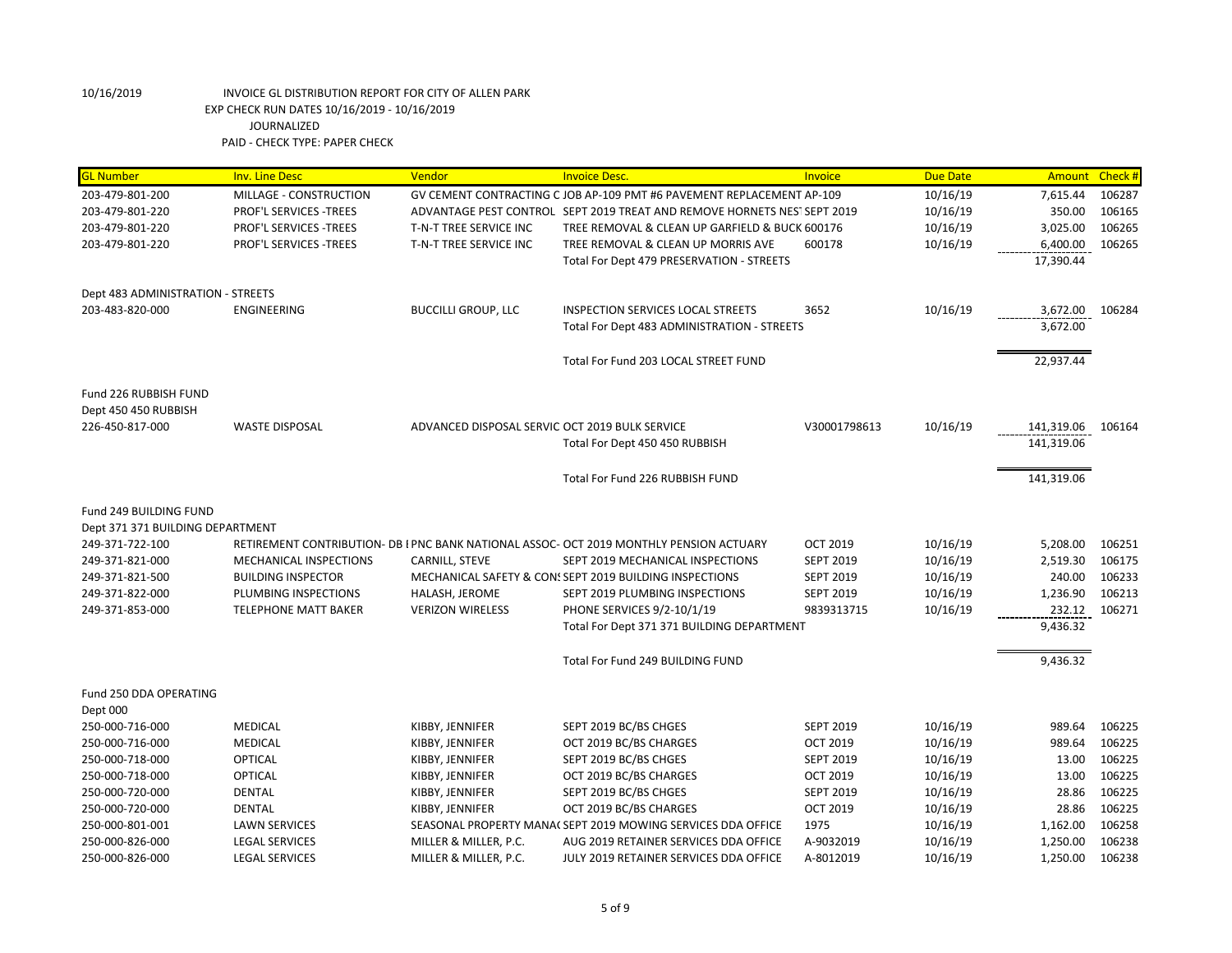| <b>GL Number</b>                  | <b>Inv. Line Desc</b>         | Vendor                                         | <b>Invoice Desc.</b>                                                                    | Invoice          | <b>Due Date</b> | <b>Amount</b>   | Check # |
|-----------------------------------|-------------------------------|------------------------------------------------|-----------------------------------------------------------------------------------------|------------------|-----------------|-----------------|---------|
| 203-479-801-200                   | MILLAGE - CONSTRUCTION        |                                                | GV CEMENT CONTRACTING C JOB AP-109 PMT #6 PAVEMENT REPLACEMENT AP-109                   |                  | 10/16/19        | 7,615.44        | 106287  |
| 203-479-801-220                   | PROF'L SERVICES - TREES       |                                                | ADVANTAGE PEST CONTROL SEPT 2019 TREAT AND REMOVE HORNETS NEST SEPT 2019                |                  | 10/16/19        | 350.00          | 106165  |
| 203-479-801-220                   | PROF'L SERVICES - TREES       | T-N-T TREE SERVICE INC                         | TREE REMOVAL & CLEAN UP GARFIELD & BUCK 600176                                          |                  | 10/16/19        | 3,025.00        | 106265  |
| 203-479-801-220                   | PROF'L SERVICES - TREES       | T-N-T TREE SERVICE INC                         | TREE REMOVAL & CLEAN UP MORRIS AVE                                                      | 600178           | 10/16/19        | 6,400.00        | 106265  |
|                                   |                               |                                                | Total For Dept 479 PRESERVATION - STREETS                                               |                  |                 | 17,390.44       |         |
| Dept 483 ADMINISTRATION - STREETS |                               |                                                |                                                                                         |                  |                 |                 |         |
| 203-483-820-000                   | ENGINEERING                   | <b>BUCCILLI GROUP, LLC</b>                     | <b>INSPECTION SERVICES LOCAL STREETS</b>                                                | 3652             | 10/16/19        | 3,672.00 106284 |         |
|                                   |                               |                                                | Total For Dept 483 ADMINISTRATION - STREETS                                             |                  |                 | 3,672.00        |         |
|                                   |                               |                                                | Total For Fund 203 LOCAL STREET FUND                                                    |                  |                 | 22,937.44       |         |
| Fund 226 RUBBISH FUND             |                               |                                                |                                                                                         |                  |                 |                 |         |
| Dept 450 450 RUBBISH              |                               |                                                |                                                                                         |                  |                 |                 |         |
| 226-450-817-000                   | <b>WASTE DISPOSAL</b>         | ADVANCED DISPOSAL SERVIC OCT 2019 BULK SERVICE |                                                                                         | V30001798613     | 10/16/19        | 141,319.06      | 106164  |
|                                   |                               |                                                | Total For Dept 450 450 RUBBISH                                                          |                  |                 | 141,319.06      |         |
|                                   |                               |                                                | Total For Fund 226 RUBBISH FUND                                                         |                  |                 | 141,319.06      |         |
| Fund 249 BUILDING FUND            |                               |                                                |                                                                                         |                  |                 |                 |         |
| Dept 371 371 BUILDING DEPARTMENT  |                               |                                                |                                                                                         |                  |                 |                 |         |
| 249-371-722-100                   |                               |                                                | RETIREMENT CONTRIBUTION- DB I PNC BANK NATIONAL ASSOC- OCT 2019 MONTHLY PENSION ACTUARY | <b>OCT 2019</b>  | 10/16/19        | 5,208.00        | 106251  |
| 249-371-821-000                   | <b>MECHANICAL INSPECTIONS</b> | CARNILL, STEVE                                 | SEPT 2019 MECHANICAL INSPECTIONS                                                        | <b>SEPT 2019</b> | 10/16/19        | 2,519.30        | 106175  |
| 249-371-821-500                   | <b>BUILDING INSPECTOR</b>     |                                                | MECHANICAL SAFETY & CON: SEPT 2019 BUILDING INSPECTIONS                                 | <b>SEPT 2019</b> | 10/16/19        | 240.00          | 106233  |
| 249-371-822-000                   | PLUMBING INSPECTIONS          | HALASH, JEROME                                 | SEPT 2019 PLUMBING INSPECTIONS                                                          | <b>SEPT 2019</b> | 10/16/19        | 1,236.90        | 106213  |
| 249-371-853-000                   | <b>TELEPHONE MATT BAKER</b>   | <b>VERIZON WIRELESS</b>                        | PHONE SERVICES 9/2-10/1/19                                                              | 9839313715       | 10/16/19        | 232.12          | 106271  |
|                                   |                               |                                                | Total For Dept 371 371 BUILDING DEPARTMENT                                              |                  |                 | 9,436.32        |         |
|                                   |                               |                                                | Total For Fund 249 BUILDING FUND                                                        |                  |                 | 9,436.32        |         |
| Fund 250 DDA OPERATING            |                               |                                                |                                                                                         |                  |                 |                 |         |
| Dept 000                          |                               |                                                |                                                                                         |                  |                 |                 |         |
| 250-000-716-000                   | <b>MEDICAL</b>                | KIBBY, JENNIFER                                | SEPT 2019 BC/BS CHGES                                                                   | <b>SEPT 2019</b> | 10/16/19        | 989.64          | 106225  |
| 250-000-716-000                   | <b>MEDICAL</b>                | KIBBY, JENNIFER                                | OCT 2019 BC/BS CHARGES                                                                  | <b>OCT 2019</b>  | 10/16/19        | 989.64          | 106225  |
| 250-000-718-000                   | <b>OPTICAL</b>                | KIBBY, JENNIFER                                | SEPT 2019 BC/BS CHGES                                                                   | <b>SEPT 2019</b> | 10/16/19        | 13.00           | 106225  |
| 250-000-718-000                   | <b>OPTICAL</b>                | KIBBY, JENNIFER                                | OCT 2019 BC/BS CHARGES                                                                  | <b>OCT 2019</b>  | 10/16/19        | 13.00           | 106225  |
| 250-000-720-000                   | <b>DENTAL</b>                 | KIBBY, JENNIFER                                | SEPT 2019 BC/BS CHGES                                                                   | <b>SEPT 2019</b> | 10/16/19        | 28.86           | 106225  |
| 250-000-720-000                   | <b>DENTAL</b>                 | KIBBY, JENNIFER                                | OCT 2019 BC/BS CHARGES                                                                  | <b>OCT 2019</b>  | 10/16/19        | 28.86           | 106225  |
| 250-000-801-001                   | <b>LAWN SERVICES</b>          |                                                | SEASONAL PROPERTY MANA( SEPT 2019 MOWING SERVICES DDA OFFICE                            | 1975             | 10/16/19        | 1,162.00        | 106258  |
| 250-000-826-000                   | <b>LEGAL SERVICES</b>         | MILLER & MILLER, P.C.                          | AUG 2019 RETAINER SERVICES DDA OFFICE                                                   | A-9032019        | 10/16/19        | 1,250.00        | 106238  |
| 250-000-826-000                   | <b>LEGAL SERVICES</b>         | MILLER & MILLER, P.C.                          | JULY 2019 RETAINER SERVICES DDA OFFICE                                                  | A-8012019        | 10/16/19        | 1,250.00        | 106238  |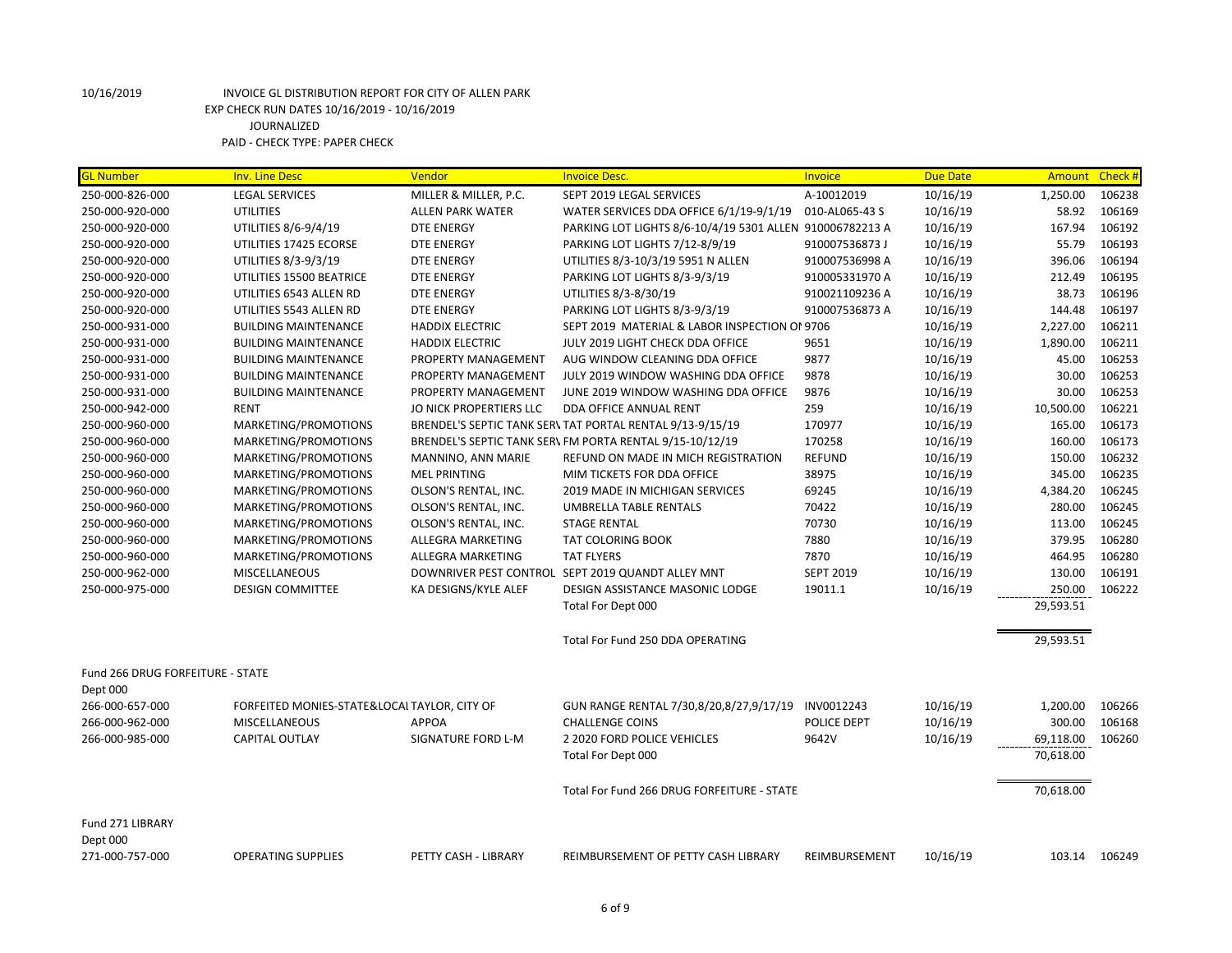| <b>GL Number</b>                             | <b>Inv. Line Desc</b>                        | Vendor                  | <b>Invoice Desc.</b>                                      | <b>Invoice</b>   | <b>Due Date</b> | Amount    | Check # |
|----------------------------------------------|----------------------------------------------|-------------------------|-----------------------------------------------------------|------------------|-----------------|-----------|---------|
| 250-000-826-000                              | <b>LEGAL SERVICES</b>                        | MILLER & MILLER, P.C.   | SEPT 2019 LEGAL SERVICES                                  | A-10012019       | 10/16/19        | 1,250.00  | 106238  |
| 250-000-920-000                              | <b>UTILITIES</b>                             | <b>ALLEN PARK WATER</b> | WATER SERVICES DDA OFFICE 6/1/19-9/1/19                   | 010-AL065-43 S   | 10/16/19        | 58.92     | 106169  |
| 250-000-920-000                              | UTILITIES 8/6-9/4/19                         | <b>DTE ENERGY</b>       | PARKING LOT LIGHTS 8/6-10/4/19 5301 ALLEN 910006782213 A  |                  | 10/16/19        | 167.94    | 106192  |
| 250-000-920-000                              | UTILITIES 17425 ECORSE                       | <b>DTE ENERGY</b>       | PARKING LOT LIGHTS 7/12-8/9/19                            | 910007536873 J   | 10/16/19        | 55.79     | 106193  |
| 250-000-920-000                              | UTILITIES 8/3-9/3/19                         | <b>DTE ENERGY</b>       | UTILITIES 8/3-10/3/19 5951 N ALLEN                        | 910007536998 A   | 10/16/19        | 396.06    | 106194  |
| 250-000-920-000                              | UTILITIES 15500 BEATRICE                     | DTE ENERGY              | PARKING LOT LIGHTS 8/3-9/3/19                             | 910005331970 A   | 10/16/19        | 212.49    | 106195  |
| 250-000-920-000                              | UTILITIES 6543 ALLEN RD                      | <b>DTE ENERGY</b>       | UTILITIES 8/3-8/30/19                                     | 910021109236 A   | 10/16/19        | 38.73     | 106196  |
| 250-000-920-000                              | UTILITIES 5543 ALLEN RD                      | <b>DTE ENERGY</b>       | PARKING LOT LIGHTS 8/3-9/3/19                             | 910007536873 A   | 10/16/19        | 144.48    | 106197  |
| 250-000-931-000                              | <b>BUILDING MAINTENANCE</b>                  | <b>HADDIX ELECTRIC</b>  | SEPT 2019 MATERIAL & LABOR INSPECTION OF 9706             |                  | 10/16/19        | 2,227.00  | 106211  |
| 250-000-931-000                              | <b>BUILDING MAINTENANCE</b>                  | <b>HADDIX ELECTRIC</b>  | JULY 2019 LIGHT CHECK DDA OFFICE                          | 9651             | 10/16/19        | 1,890.00  | 106211  |
| 250-000-931-000                              | <b>BUILDING MAINTENANCE</b>                  | PROPERTY MANAGEMENT     | AUG WINDOW CLEANING DDA OFFICE                            | 9877             | 10/16/19        | 45.00     | 106253  |
| 250-000-931-000                              | <b>BUILDING MAINTENANCE</b>                  | PROPERTY MANAGEMENT     | JULY 2019 WINDOW WASHING DDA OFFICE                       | 9878             | 10/16/19        | 30.00     | 106253  |
| 250-000-931-000                              | <b>BUILDING MAINTENANCE</b>                  | PROPERTY MANAGEMENT     | JUNE 2019 WINDOW WASHING DDA OFFICE                       | 9876             | 10/16/19        | 30.00     | 106253  |
| 250-000-942-000                              | <b>RENT</b>                                  | JO NICK PROPERTIERS LLC | DDA OFFICE ANNUAL RENT                                    | 259              | 10/16/19        | 10,500.00 | 106221  |
| 250-000-960-000                              | MARKETING/PROMOTIONS                         |                         | BRENDEL'S SEPTIC TANK SER\ TAT PORTAL RENTAL 9/13-9/15/19 | 170977           | 10/16/19        | 165.00    | 106173  |
| 250-000-960-000                              | MARKETING/PROMOTIONS                         |                         | BRENDEL'S SEPTIC TANK SER\ FM PORTA RENTAL 9/15-10/12/19  | 170258           | 10/16/19        | 160.00    | 106173  |
| 250-000-960-000                              | MARKETING/PROMOTIONS                         | MANNINO, ANN MARIE      | REFUND ON MADE IN MICH REGISTRATION                       | <b>REFUND</b>    | 10/16/19        | 150.00    | 106232  |
| 250-000-960-000                              | MARKETING/PROMOTIONS                         | <b>MEL PRINTING</b>     | MIM TICKETS FOR DDA OFFICE                                | 38975            | 10/16/19        | 345.00    | 106235  |
| 250-000-960-000                              | MARKETING/PROMOTIONS                         | OLSON'S RENTAL, INC.    | 2019 MADE IN MICHIGAN SERVICES                            | 69245            | 10/16/19        | 4,384.20  | 106245  |
| 250-000-960-000                              | MARKETING/PROMOTIONS                         | OLSON'S RENTAL, INC.    | <b>UMBRELLA TABLE RENTALS</b>                             | 70422            | 10/16/19        | 280.00    | 106245  |
| 250-000-960-000                              | MARKETING/PROMOTIONS                         | OLSON'S RENTAL, INC.    | <b>STAGE RENTAL</b>                                       | 70730            | 10/16/19        | 113.00    | 106245  |
| 250-000-960-000                              | MARKETING/PROMOTIONS                         | ALLEGRA MARKETING       | <b>TAT COLORING BOOK</b>                                  | 7880             | 10/16/19        | 379.95    | 106280  |
| 250-000-960-000                              | MARKETING/PROMOTIONS                         | ALLEGRA MARKETING       | <b>TAT FLYERS</b>                                         | 7870             | 10/16/19        | 464.95    | 106280  |
| 250-000-962-000                              | <b>MISCELLANEOUS</b>                         |                         | DOWNRIVER PEST CONTROL SEPT 2019 QUANDT ALLEY MNT         | <b>SEPT 2019</b> | 10/16/19        | 130.00    | 106191  |
| 250-000-975-000                              | <b>DESIGN COMMITTEE</b>                      | KA DESIGNS/KYLE ALEF    | DESIGN ASSISTANCE MASONIC LODGE                           | 19011.1          | 10/16/19        | 250.00    | 106222  |
|                                              |                                              |                         | Total For Dept 000                                        |                  |                 | 29,593.51 |         |
|                                              |                                              |                         | Total For Fund 250 DDA OPERATING                          |                  |                 | 29,593.51 |         |
| Fund 266 DRUG FORFEITURE - STATE<br>Dept 000 |                                              |                         |                                                           |                  |                 |           |         |
| 266-000-657-000                              | FORFEITED MONIES-STATE&LOCAL TAYLOR, CITY OF |                         | GUN RANGE RENTAL 7/30,8/20,8/27,9/17/19                   | INV0012243       | 10/16/19        | 1,200.00  | 106266  |
| 266-000-962-000                              | <b>MISCELLANEOUS</b>                         | <b>APPOA</b>            | <b>CHALLENGE COINS</b>                                    | POLICE DEPT      | 10/16/19        | 300.00    | 106168  |
| 266-000-985-000                              | <b>CAPITAL OUTLAY</b>                        | SIGNATURE FORD L-M      | 2 2020 FORD POLICE VEHICLES                               | 9642V            | 10/16/19        | 69,118.00 | 106260  |
|                                              |                                              |                         | Total For Dept 000                                        |                  |                 | 70,618.00 |         |
|                                              |                                              |                         | Total For Fund 266 DRUG FORFEITURE - STATE                |                  |                 | 70,618.00 |         |
| Fund 271 LIBRARY<br>Dept 000                 |                                              |                         |                                                           |                  |                 |           |         |
| 271-000-757-000                              | <b>OPERATING SUPPLIES</b>                    | PETTY CASH - LIBRARY    | REIMBURSEMENT OF PETTY CASH LIBRARY                       | REIMBURSEMENT    | 10/16/19        | 103.14    | 106249  |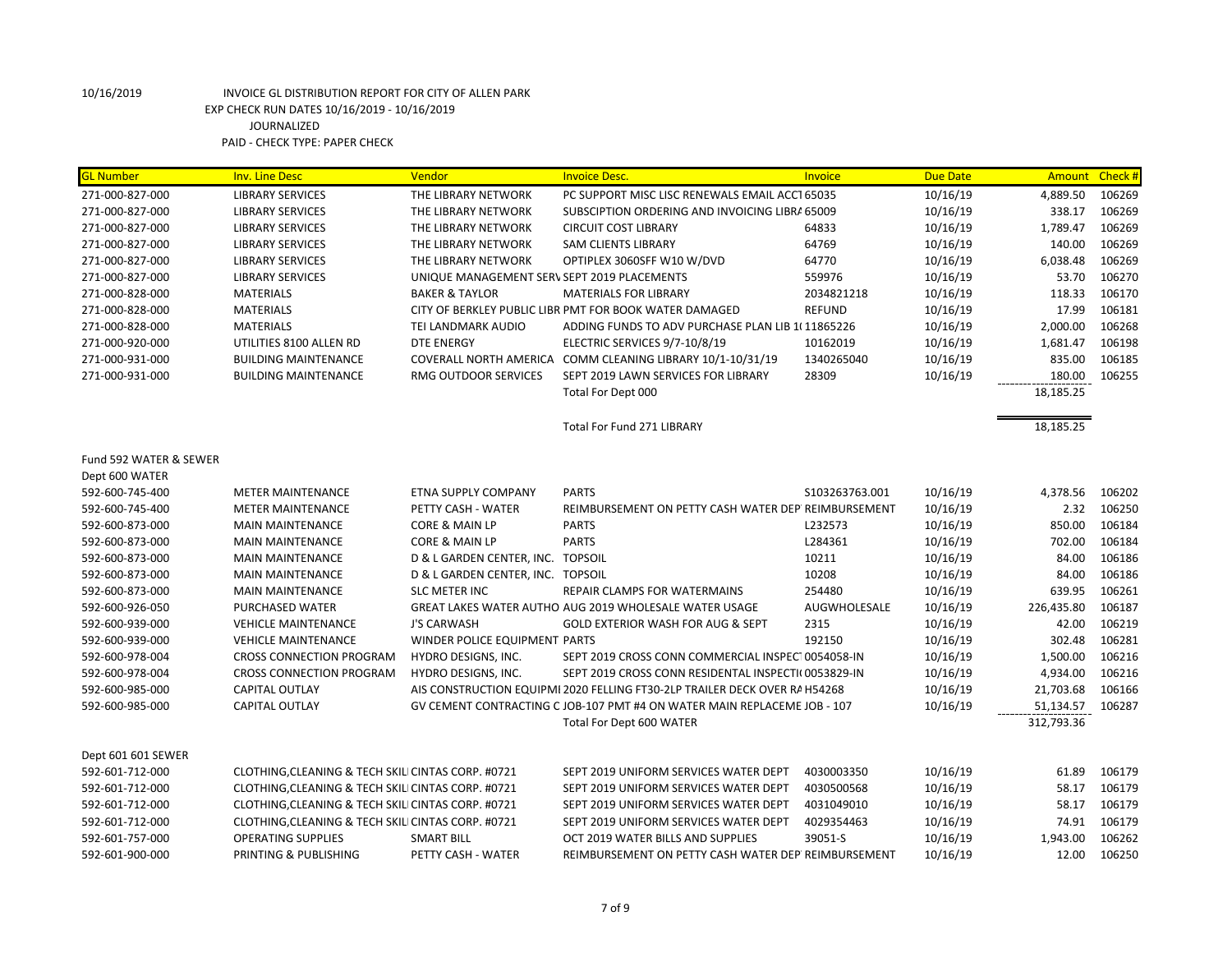| <b>GL Number</b>       | <b>Inv. Line Desc</b>                              | Vendor                                      | <b>Invoice Desc.</b>                                                                                 | Invoice        | <b>Due Date</b> | Amount Check #          |        |
|------------------------|----------------------------------------------------|---------------------------------------------|------------------------------------------------------------------------------------------------------|----------------|-----------------|-------------------------|--------|
| 271-000-827-000        | <b>LIBRARY SERVICES</b>                            | THE LIBRARY NETWORK                         | PC SUPPORT MISC LISC RENEWALS EMAIL ACCT 65035                                                       |                | 10/16/19        | 4,889.50                | 106269 |
| 271-000-827-000        | <b>LIBRARY SERVICES</b>                            | THE LIBRARY NETWORK                         | SUBSCIPTION ORDERING AND INVOICING LIBRA 65009                                                       |                | 10/16/19        | 338.17                  | 106269 |
| 271-000-827-000        | <b>LIBRARY SERVICES</b>                            | THE LIBRARY NETWORK                         | <b>CIRCUIT COST LIBRARY</b>                                                                          | 64833          | 10/16/19        | 1,789.47                | 106269 |
| 271-000-827-000        | <b>LIBRARY SERVICES</b>                            | THE LIBRARY NETWORK                         | <b>SAM CLIENTS LIBRARY</b>                                                                           | 64769          | 10/16/19        | 140.00                  | 106269 |
| 271-000-827-000        | <b>LIBRARY SERVICES</b>                            | THE LIBRARY NETWORK                         | OPTIPLEX 3060SFF W10 W/DVD                                                                           | 64770          | 10/16/19        | 6,038.48                | 106269 |
| 271-000-827-000        | <b>LIBRARY SERVICES</b>                            | UNIQUE MANAGEMENT SERV SEPT 2019 PLACEMENTS |                                                                                                      | 559976         | 10/16/19        | 53.70                   | 106270 |
| 271-000-828-000        | <b>MATERIALS</b>                                   | <b>BAKER &amp; TAYLOR</b>                   | <b>MATERIALS FOR LIBRARY</b>                                                                         | 2034821218     | 10/16/19        | 118.33                  | 106170 |
| 271-000-828-000        | <b>MATERIALS</b>                                   |                                             | CITY OF BERKLEY PUBLIC LIBR PMT FOR BOOK WATER DAMAGED                                               | <b>REFUND</b>  | 10/16/19        | 17.99                   | 106181 |
| 271-000-828-000        | <b>MATERIALS</b>                                   | TEI LANDMARK AUDIO                          | ADDING FUNDS TO ADV PURCHASE PLAN LIB 1(11865226                                                     |                | 10/16/19        | 2,000.00                | 106268 |
| 271-000-920-000        | UTILITIES 8100 ALLEN RD                            | <b>DTE ENERGY</b>                           | ELECTRIC SERVICES 9/7-10/8/19                                                                        | 10162019       | 10/16/19        | 1,681.47                | 106198 |
| 271-000-931-000        | <b>BUILDING MAINTENANCE</b>                        |                                             | COVERALL NORTH AMERICA COMM CLEANING LIBRARY 10/1-10/31/19                                           | 1340265040     | 10/16/19        | 835.00                  | 106185 |
| 271-000-931-000        | <b>BUILDING MAINTENANCE</b>                        | RMG OUTDOOR SERVICES                        | SEPT 2019 LAWN SERVICES FOR LIBRARY                                                                  | 28309          | 10/16/19        | 180.00                  | 106255 |
|                        |                                                    |                                             | Total For Dept 000                                                                                   |                |                 | 18,185.25               |        |
|                        |                                                    |                                             | <b>Total For Fund 271 LIBRARY</b>                                                                    |                |                 | 18,185.25               |        |
| Fund 592 WATER & SEWER |                                                    |                                             |                                                                                                      |                |                 |                         |        |
| Dept 600 WATER         |                                                    |                                             |                                                                                                      |                |                 |                         |        |
| 592-600-745-400        | <b>METER MAINTENANCE</b>                           | ETNA SUPPLY COMPANY                         | <b>PARTS</b>                                                                                         | S103263763.001 | 10/16/19        | 4,378.56                | 106202 |
| 592-600-745-400        | <b>METER MAINTENANCE</b>                           | PETTY CASH - WATER                          | REIMBURSEMENT ON PETTY CASH WATER DEP REIMBURSEMENT                                                  |                | 10/16/19        | 2.32                    | 106250 |
| 592-600-873-000        | <b>MAIN MAINTENANCE</b>                            | CORE & MAIN LP                              | <b>PARTS</b>                                                                                         | L232573        | 10/16/19        | 850.00                  | 106184 |
| 592-600-873-000        | <b>MAIN MAINTENANCE</b>                            | <b>CORE &amp; MAIN LP</b>                   | <b>PARTS</b>                                                                                         | L284361        | 10/16/19        | 702.00                  | 106184 |
| 592-600-873-000        | <b>MAIN MAINTENANCE</b>                            | D & L GARDEN CENTER, INC. TOPSOIL           |                                                                                                      | 10211          | 10/16/19        | 84.00                   | 106186 |
| 592-600-873-000        | <b>MAIN MAINTENANCE</b>                            | D & L GARDEN CENTER, INC. TOPSOIL           |                                                                                                      | 10208          | 10/16/19        | 84.00                   | 106186 |
| 592-600-873-000        | <b>MAIN MAINTENANCE</b>                            | <b>SLC METER INC</b>                        | <b>REPAIR CLAMPS FOR WATERMAINS</b>                                                                  | 254480         | 10/16/19        | 639.95                  | 106261 |
| 592-600-926-050        | PURCHASED WATER                                    |                                             | GREAT LAKES WATER AUTHO AUG 2019 WHOLESALE WATER USAGE                                               | AUGWHOLESALE   | 10/16/19        | 226,435.80              | 106187 |
| 592-600-939-000        | <b>VEHICLE MAINTENANCE</b>                         | <b>J'S CARWASH</b>                          | <b>GOLD EXTERIOR WASH FOR AUG &amp; SEPT</b>                                                         | 2315           |                 | 42.00                   | 106219 |
| 592-600-939-000        | <b>VEHICLE MAINTENANCE</b>                         | WINDER POLICE EQUIPMENT PARTS               |                                                                                                      | 192150         | 10/16/19        | 302.48                  | 106281 |
| 592-600-978-004        | <b>CROSS CONNECTION PROGRAM</b>                    |                                             | SEPT 2019 CROSS CONN COMMERCIAL INSPECT 0054058-IN                                                   |                | 10/16/19        |                         | 106216 |
|                        | <b>CROSS CONNECTION PROGRAM</b>                    | HYDRO DESIGNS, INC.                         | SEPT 2019 CROSS CONN RESIDENTAL INSPECTI(0053829-IN                                                  |                | 10/16/19        | 1,500.00                | 106216 |
| 592-600-978-004        |                                                    | HYDRO DESIGNS, INC.                         | AIS CONSTRUCTION EQUIPMI 2020 FELLING FT30-2LP TRAILER DECK OVER RAH54268                            |                | 10/16/19        | 4,934.00                |        |
| 592-600-985-000        | CAPITAL OUTLAY                                     |                                             |                                                                                                      |                | 10/16/19        | 21,703.68               | 106166 |
| 592-600-985-000        | <b>CAPITAL OUTLAY</b>                              |                                             | GV CEMENT CONTRACTING C JOB-107 PMT #4 ON WATER MAIN REPLACEME JOB - 107<br>Total For Dept 600 WATER |                | 10/16/19        | 51,134.57<br>312,793.36 | 106287 |
|                        |                                                    |                                             |                                                                                                      |                |                 |                         |        |
| Dept 601 601 SEWER     |                                                    |                                             |                                                                                                      |                |                 |                         |        |
| 592-601-712-000        | CLOTHING, CLEANING & TECH SKILI CINTAS CORP. #0721 |                                             | SEPT 2019 UNIFORM SERVICES WATER DEPT                                                                | 4030003350     | 10/16/19        | 61.89                   | 106179 |
| 592-601-712-000        | CLOTHING, CLEANING & TECH SKILI CINTAS CORP. #0721 |                                             | SEPT 2019 UNIFORM SERVICES WATER DEPT                                                                | 4030500568     | 10/16/19        | 58.17                   | 106179 |
| 592-601-712-000        | CLOTHING, CLEANING & TECH SKILI CINTAS CORP. #0721 |                                             | SEPT 2019 UNIFORM SERVICES WATER DEPT                                                                | 4031049010     | 10/16/19        | 58.17                   | 106179 |
| 592-601-712-000        | CLOTHING, CLEANING & TECH SKILI CINTAS CORP. #0721 |                                             | SEPT 2019 UNIFORM SERVICES WATER DEPT                                                                | 4029354463     | 10/16/19        | 74.91                   | 106179 |
| 592-601-757-000        | <b>OPERATING SUPPLIES</b>                          | <b>SMART BILL</b>                           | OCT 2019 WATER BILLS AND SUPPLIES                                                                    | 39051-S        | 10/16/19        | 1,943.00                | 106262 |
| 592-601-900-000        | PRINTING & PUBLISHING                              | PETTY CASH - WATER                          | REIMBURSEMENT ON PETTY CASH WATER DEP REIMBURSEMENT                                                  |                | 10/16/19        | 12.00                   | 106250 |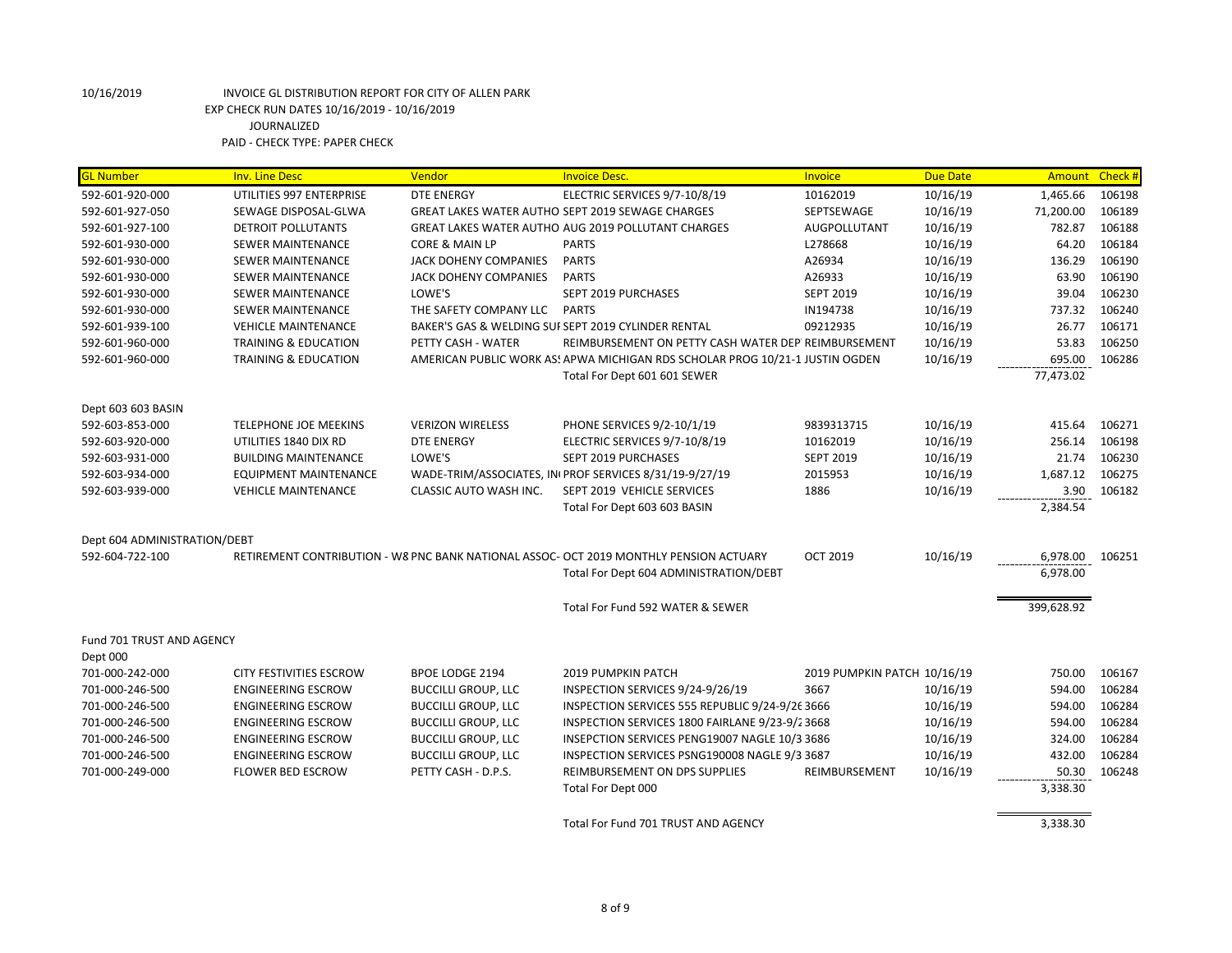| <b>GL Number</b>             | <b>Inv. Line Desc</b>           | Vendor                       | <b>Invoice Desc.</b>                                                                   | <b>Invoice</b>              | <b>Due Date</b> | Amount Check # |        |
|------------------------------|---------------------------------|------------------------------|----------------------------------------------------------------------------------------|-----------------------------|-----------------|----------------|--------|
| 592-601-920-000              | UTILITIES 997 ENTERPRISE        | <b>DTE ENERGY</b>            | ELECTRIC SERVICES 9/7-10/8/19                                                          | 10162019                    | 10/16/19        | 1,465.66       | 106198 |
| 592-601-927-050              | SEWAGE DISPOSAL-GLWA            |                              | GREAT LAKES WATER AUTHO SEPT 2019 SEWAGE CHARGES                                       | SEPTSEWAGE                  | 10/16/19        | 71,200.00      | 106189 |
| 592-601-927-100              | DETROIT POLLUTANTS              |                              | GREAT LAKES WATER AUTHO AUG 2019 POLLUTANT CHARGES                                     | AUGPOLLUTANT                | 10/16/19        | 782.87         | 106188 |
| 592-601-930-000              | SEWER MAINTENANCE               | CORE & MAIN LP               | <b>PARTS</b>                                                                           | L278668                     | 10/16/19        | 64.20          | 106184 |
| 592-601-930-000              | <b>SEWER MAINTENANCE</b>        | <b>JACK DOHENY COMPANIES</b> | <b>PARTS</b>                                                                           | A26934                      | 10/16/19        | 136.29         | 106190 |
| 592-601-930-000              | SEWER MAINTENANCE               | <b>JACK DOHENY COMPANIES</b> | <b>PARTS</b>                                                                           | A26933                      | 10/16/19        | 63.90          | 106190 |
| 592-601-930-000              | SEWER MAINTENANCE               | LOWE'S                       | SEPT 2019 PURCHASES                                                                    | <b>SEPT 2019</b>            | 10/16/19        | 39.04          | 106230 |
| 592-601-930-000              | SEWER MAINTENANCE               | THE SAFETY COMPANY LLC       | <b>PARTS</b>                                                                           | IN194738                    | 10/16/19        | 737.32         | 106240 |
| 592-601-939-100              | <b>VEHICLE MAINTENANCE</b>      |                              | BAKER'S GAS & WELDING SUI SEPT 2019 CYLINDER RENTAL                                    | 09212935                    | 10/16/19        | 26.77          | 106171 |
| 592-601-960-000              | <b>TRAINING &amp; EDUCATION</b> | PETTY CASH - WATER           | REIMBURSEMENT ON PETTY CASH WATER DEP REIMBURSEMENT                                    |                             | 10/16/19        | 53.83          | 106250 |
| 592-601-960-000              | <b>TRAINING &amp; EDUCATION</b> |                              | AMERICAN PUBLIC WORK AS! APWA MICHIGAN RDS SCHOLAR PROG 10/21-1 JUSTIN OGDEN           |                             | 10/16/19        | 695.00         | 106286 |
|                              |                                 |                              | Total For Dept 601 601 SEWER                                                           |                             |                 | 77,473.02      |        |
| Dept 603 603 BASIN           |                                 |                              |                                                                                        |                             |                 |                |        |
| 592-603-853-000              | TELEPHONE JOE MEEKINS           | <b>VERIZON WIRELESS</b>      | PHONE SERVICES 9/2-10/1/19                                                             | 9839313715                  | 10/16/19        | 415.64         | 106271 |
| 592-603-920-000              | UTILITIES 1840 DIX RD           | <b>DTE ENERGY</b>            | ELECTRIC SERVICES 9/7-10/8/19                                                          | 10162019                    | 10/16/19        | 256.14         | 106198 |
| 592-603-931-000              | <b>BUILDING MAINTENANCE</b>     | LOWE'S                       | SEPT 2019 PURCHASES                                                                    | <b>SEPT 2019</b>            | 10/16/19        | 21.74          | 106230 |
| 592-603-934-000              | EQUIPMENT MAINTENANCE           |                              | WADE-TRIM/ASSOCIATES, IN PROF SERVICES 8/31/19-9/27/19                                 | 2015953                     | 10/16/19        | 1,687.12       | 106275 |
| 592-603-939-000              | <b>VEHICLE MAINTENANCE</b>      | CLASSIC AUTO WASH INC.       | SEPT 2019 VEHICLE SERVICES                                                             | 1886                        | 10/16/19        | 3.90           | 106182 |
|                              |                                 |                              | Total For Dept 603 603 BASIN                                                           |                             |                 | 2,384.54       |        |
| Dept 604 ADMINISTRATION/DEBT |                                 |                              |                                                                                        |                             |                 |                |        |
| 592-604-722-100              |                                 |                              | RETIREMENT CONTRIBUTION - W8 PNC BANK NATIONAL ASSOC- OCT 2019 MONTHLY PENSION ACTUARY | <b>OCT 2019</b>             | 10/16/19        | 6,978.00       | 106251 |
|                              |                                 |                              | Total For Dept 604 ADMINISTRATION/DEBT                                                 |                             |                 | 6,978.00       |        |
|                              |                                 |                              |                                                                                        |                             |                 |                |        |
|                              |                                 |                              | Total For Fund 592 WATER & SEWER                                                       |                             |                 | 399,628.92     |        |
| Fund 701 TRUST AND AGENCY    |                                 |                              |                                                                                        |                             |                 |                |        |
| Dept 000                     |                                 |                              |                                                                                        |                             |                 |                |        |
| 701-000-242-000              | CITY FESTIVITIES ESCROW         | <b>BPOE LODGE 2194</b>       | <b>2019 PUMPKIN PATCH</b>                                                              | 2019 PUMPKIN PATCH 10/16/19 |                 | 750.00         | 106167 |
| 701-000-246-500              | <b>ENGINEERING ESCROW</b>       | <b>BUCCILLI GROUP, LLC</b>   | INSPECTION SERVICES 9/24-9/26/19                                                       | 3667                        | 10/16/19        | 594.00         | 106284 |
| 701-000-246-500              | <b>ENGINEERING ESCROW</b>       | <b>BUCCILLI GROUP, LLC</b>   | INSPECTION SERVICES 555 REPUBLIC 9/24-9/26 3666                                        |                             | 10/16/19        | 594.00         | 106284 |
| 701-000-246-500              | <b>ENGINEERING ESCROW</b>       | <b>BUCCILLI GROUP, LLC</b>   | INSPECTION SERVICES 1800 FAIRLANE 9/23-9/23668                                         |                             | 10/16/19        | 594.00         | 106284 |
| 701-000-246-500              | <b>ENGINEERING ESCROW</b>       | <b>BUCCILLI GROUP, LLC</b>   | INSEPCTION SERVICES PENG19007 NAGLE 10/3 3686                                          |                             | 10/16/19        | 324.00         | 106284 |
| 701-000-246-500              | <b>ENGINEERING ESCROW</b>       | <b>BUCCILLI GROUP, LLC</b>   | INSPECTION SERVICES PSNG190008 NAGLE 9/3 3687                                          |                             | 10/16/19        | 432.00         | 106284 |
| 701-000-249-000              | <b>FLOWER BED ESCROW</b>        | PETTY CASH - D.P.S.          | REIMBURSEMENT ON DPS SUPPLIES                                                          | REIMBURSEMENT               | 10/16/19        | 50.30          | 106248 |
|                              |                                 |                              | Total For Dept 000                                                                     |                             |                 | 3,338.30       |        |
|                              |                                 |                              | Total For Fund 701 TRUST AND AGENCY                                                    |                             |                 | 3,338.30       |        |